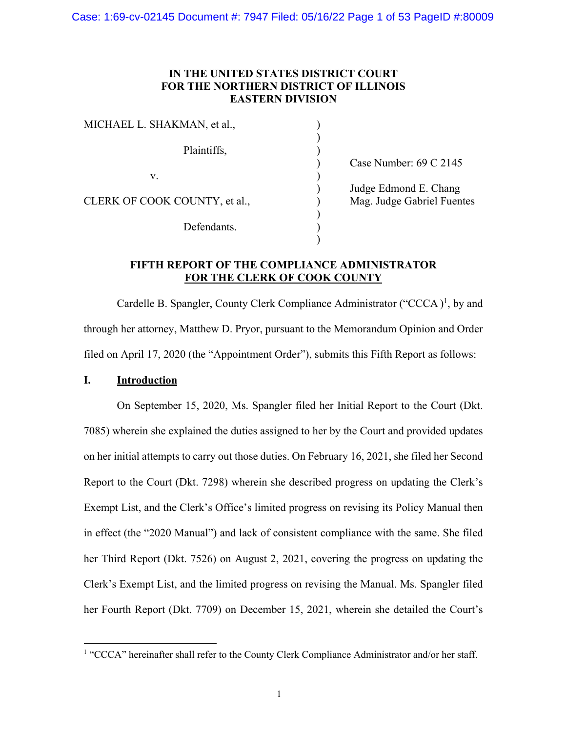# **IN THE UNITED STATES DISTRICT COURT FOR THE NORTHERN DISTRICT OF ILLINOIS EASTERN DIVISION**

| MICHAEL L. SHAKMAN, et al.,   |                            |
|-------------------------------|----------------------------|
| Plaintiffs,                   | Case Number: 69 C 2145     |
| V.                            |                            |
|                               | Judge Edmond E. Chang      |
| CLERK OF COOK COUNTY, et al., | Mag. Judge Gabriel Fuentes |
|                               |                            |
| Defendants.                   |                            |
|                               |                            |

# **FIFTH REPORT OF THE COMPLIANCE ADMINISTRATOR FOR THE CLERK OF COOK COUNTY**

Cardelle B. Spangler, County Clerk Compliance Administrator ("CCCA ) 1, by and through her attorney, Matthew D. Pryor, pursuant to the Memorandum Opinion and Order filed on April 17, 2020 (the "Appointment Order"), submits this Fifth Report as follows:

# **I. Introduction**

On September 15, 2020, Ms. Spangler filed her Initial Report to the Court (Dkt. 7085) wherein she explained the duties assigned to her by the Court and provided updates on her initial attempts to carry out those duties. On February 16, 2021, she filed her Second Report to the Court (Dkt. 7298) wherein she described progress on updating the Clerk's Exempt List, and the Clerk's Office's limited progress on revising its Policy Manual then in effect (the "2020 Manual") and lack of consistent compliance with the same. She filed her Third Report (Dkt. 7526) on August 2, 2021, covering the progress on updating the Clerk's Exempt List, and the limited progress on revising the Manual. Ms. Spangler filed her Fourth Report (Dkt. 7709) on December 15, 2021, wherein she detailed the Court's

<sup>&</sup>lt;sup>1</sup> "CCCA" hereinafter shall refer to the County Clerk Compliance Administrator and/or her staff.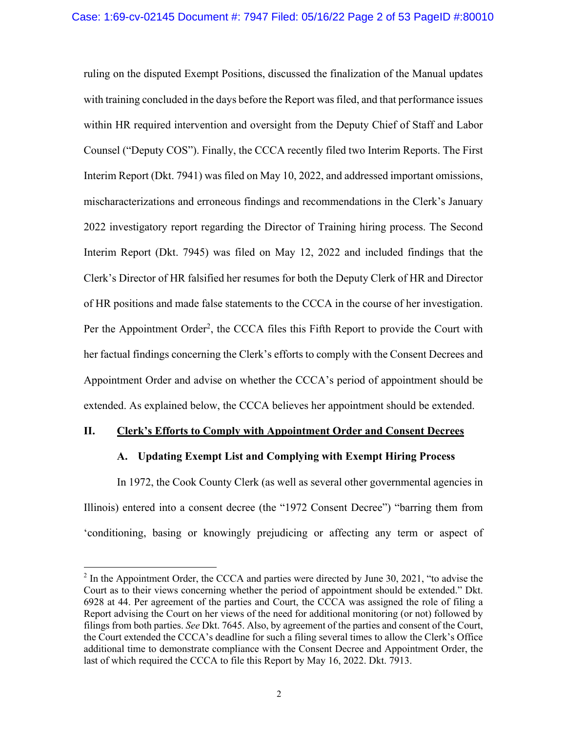ruling on the disputed Exempt Positions, discussed the finalization of the Manual updates with training concluded in the days before the Report was filed, and that performance issues within HR required intervention and oversight from the Deputy Chief of Staff and Labor Counsel ("Deputy COS"). Finally, the CCCA recently filed two Interim Reports. The First Interim Report (Dkt. 7941) was filed on May 10, 2022, and addressed important omissions, mischaracterizations and erroneous findings and recommendations in the Clerk's January 2022 investigatory report regarding the Director of Training hiring process. The Second Interim Report (Dkt. 7945) was filed on May 12, 2022 and included findings that the Clerk's Director of HR falsified her resumes for both the Deputy Clerk of HR and Director of HR positions and made false statements to the CCCA in the course of her investigation. Per the Appointment Order<sup>2</sup>, the CCCA files this Fifth Report to provide the Court with her factual findings concerning the Clerk's efforts to comply with the Consent Decrees and Appointment Order and advise on whether the CCCA's period of appointment should be extended. As explained below, the CCCA believes her appointment should be extended.

### **II. Clerk's Efforts to Comply with Appointment Order and Consent Decrees**

# **A. Updating Exempt List and Complying with Exempt Hiring Process**

In 1972, the Cook County Clerk (as well as several other governmental agencies in Illinois) entered into a consent decree (the "1972 Consent Decree") "barring them from 'conditioning, basing or knowingly prejudicing or affecting any term or aspect of

 $^2$  In the Appointment Order, the CCCA and parties were directed by June 30, 2021, "to advise the Court as to their views concerning whether the period of appointment should be extended." Dkt. 6928 at 44. Per agreement of the parties and Court, the CCCA was assigned the role of filing a Report advising the Court on her views of the need for additional monitoring (or not) followed by filings from both parties. *See* Dkt. 7645. Also, by agreement of the parties and consent of the Court, the Court extended the CCCA's deadline for such a filing several times to allow the Clerk's Office additional time to demonstrate compliance with the Consent Decree and Appointment Order, the last of which required the CCCA to file this Report by May 16, 2022. Dkt. 7913.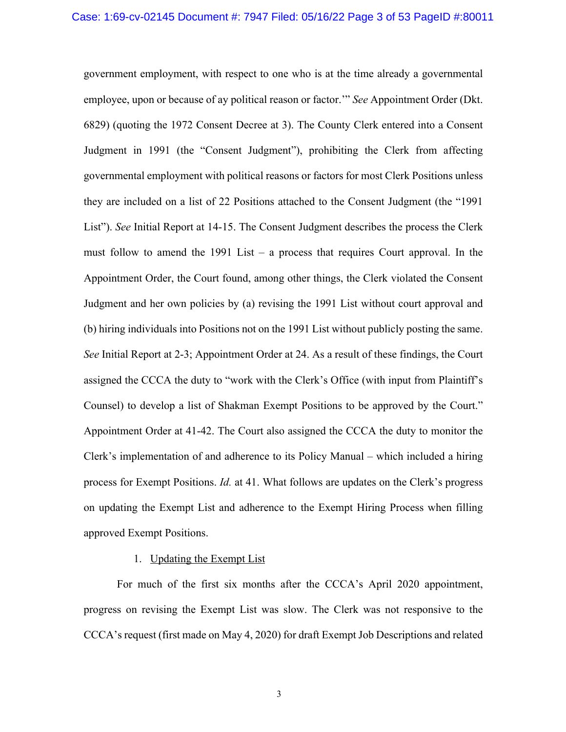government employment, with respect to one who is at the time already a governmental employee, upon or because of ay political reason or factor.'" *See* Appointment Order (Dkt. 6829) (quoting the 1972 Consent Decree at 3). The County Clerk entered into a Consent Judgment in 1991 (the "Consent Judgment"), prohibiting the Clerk from affecting governmental employment with political reasons or factors for most Clerk Positions unless they are included on a list of 22 Positions attached to the Consent Judgment (the "1991 List"). *See* Initial Report at 14-15. The Consent Judgment describes the process the Clerk must follow to amend the 1991 List – a process that requires Court approval. In the Appointment Order, the Court found, among other things, the Clerk violated the Consent Judgment and her own policies by (a) revising the 1991 List without court approval and (b) hiring individuals into Positions not on the 1991 List without publicly posting the same. *See* Initial Report at 2-3; Appointment Order at 24. As a result of these findings, the Court assigned the CCCA the duty to "work with the Clerk's Office (with input from Plaintiff's Counsel) to develop a list of Shakman Exempt Positions to be approved by the Court." Appointment Order at 41-42. The Court also assigned the CCCA the duty to monitor the Clerk's implementation of and adherence to its Policy Manual – which included a hiring process for Exempt Positions. *Id.* at 41. What follows are updates on the Clerk's progress on updating the Exempt List and adherence to the Exempt Hiring Process when filling approved Exempt Positions.

# 1. Updating the Exempt List

For much of the first six months after the CCCA's April 2020 appointment, progress on revising the Exempt List was slow. The Clerk was not responsive to the CCCA's request (first made on May 4, 2020) for draft Exempt Job Descriptions and related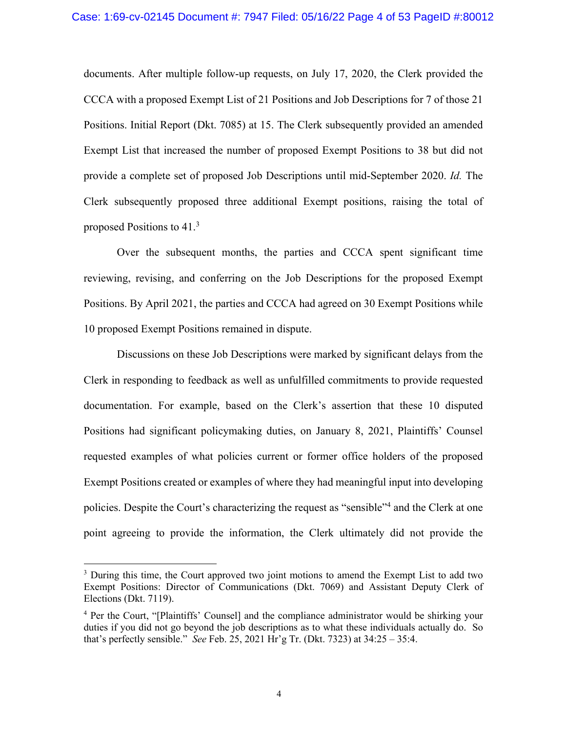documents. After multiple follow-up requests, on July 17, 2020, the Clerk provided the CCCA with a proposed Exempt List of 21 Positions and Job Descriptions for 7 of those 21 Positions. Initial Report (Dkt. 7085) at 15. The Clerk subsequently provided an amended Exempt List that increased the number of proposed Exempt Positions to 38 but did not provide a complete set of proposed Job Descriptions until mid-September 2020. *Id.* The Clerk subsequently proposed three additional Exempt positions, raising the total of proposed Positions to 41.3

Over the subsequent months, the parties and CCCA spent significant time reviewing, revising, and conferring on the Job Descriptions for the proposed Exempt Positions. By April 2021, the parties and CCCA had agreed on 30 Exempt Positions while 10 proposed Exempt Positions remained in dispute.

Discussions on these Job Descriptions were marked by significant delays from the Clerk in responding to feedback as well as unfulfilled commitments to provide requested documentation. For example, based on the Clerk's assertion that these 10 disputed Positions had significant policymaking duties, on January 8, 2021, Plaintiffs' Counsel requested examples of what policies current or former office holders of the proposed Exempt Positions created or examples of where they had meaningful input into developing policies. Despite the Court's characterizing the request as "sensible"4 and the Clerk at one point agreeing to provide the information, the Clerk ultimately did not provide the

<sup>&</sup>lt;sup>3</sup> During this time, the Court approved two joint motions to amend the Exempt List to add two Exempt Positions: Director of Communications (Dkt. 7069) and Assistant Deputy Clerk of Elections (Dkt. 7119).

<sup>4</sup> Per the Court, "[Plaintiffs' Counsel] and the compliance administrator would be shirking your duties if you did not go beyond the job descriptions as to what these individuals actually do. So that's perfectly sensible." *See* Feb. 25, 2021 Hr'g Tr. (Dkt. 7323) at 34:25 – 35:4.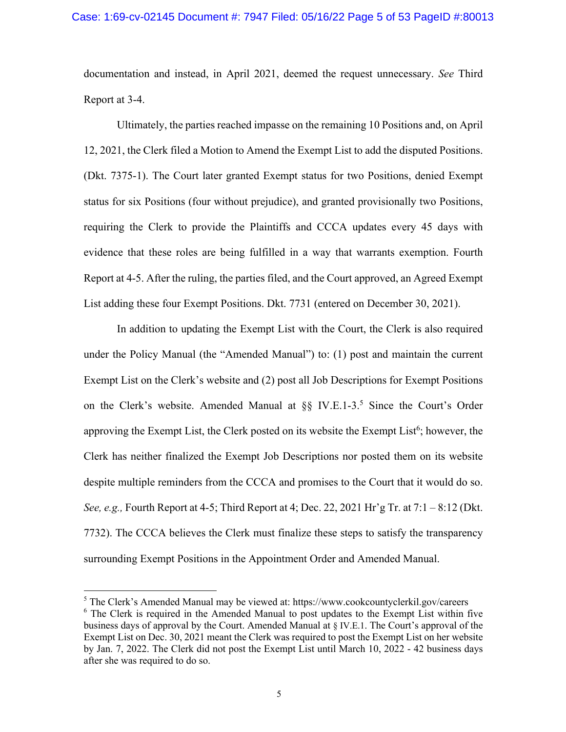documentation and instead, in April 2021, deemed the request unnecessary. *See* Third Report at 3-4.

Ultimately, the parties reached impasse on the remaining 10 Positions and, on April 12, 2021, the Clerk filed a Motion to Amend the Exempt List to add the disputed Positions. (Dkt. 7375-1). The Court later granted Exempt status for two Positions, denied Exempt status for six Positions (four without prejudice), and granted provisionally two Positions, requiring the Clerk to provide the Plaintiffs and CCCA updates every 45 days with evidence that these roles are being fulfilled in a way that warrants exemption. Fourth Report at 4-5. After the ruling, the parties filed, and the Court approved, an Agreed Exempt List adding these four Exempt Positions. Dkt. 7731 (entered on December 30, 2021).

In addition to updating the Exempt List with the Court, the Clerk is also required under the Policy Manual (the "Amended Manual") to: (1) post and maintain the current Exempt List on the Clerk's website and (2) post all Job Descriptions for Exempt Positions on the Clerk's website. Amended Manual at  $\S$  IV.E.1-3.<sup>5</sup> Since the Court's Order approving the Exempt List, the Clerk posted on its website the Exempt List $6$ ; however, the Clerk has neither finalized the Exempt Job Descriptions nor posted them on its website despite multiple reminders from the CCCA and promises to the Court that it would do so. *See, e.g.,* Fourth Report at 4-5; Third Report at 4; Dec. 22, 2021 Hr'g Tr. at 7:1 – 8:12 (Dkt. 7732). The CCCA believes the Clerk must finalize these steps to satisfy the transparency surrounding Exempt Positions in the Appointment Order and Amended Manual.

<sup>5</sup> The Clerk's Amended Manual may be viewed at: https://www.cookcountyclerkil.gov/careers  $6$  The Clerk is required in the Amended Manual to post updates to the Exempt List within five business days of approval by the Court. Amended Manual at § IV.E.1. The Court's approval of the Exempt List on Dec. 30, 2021 meant the Clerk was required to post the Exempt List on her website by Jan. 7, 2022. The Clerk did not post the Exempt List until March 10, 2022 - 42 business days after she was required to do so.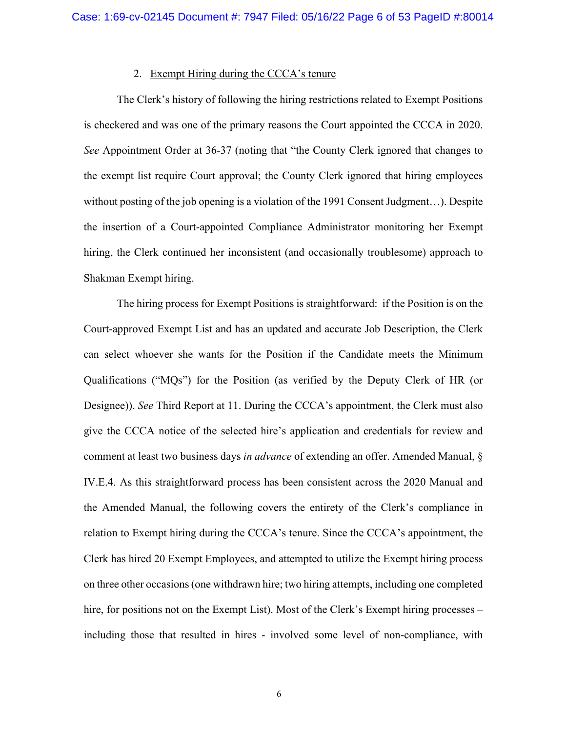### 2. Exempt Hiring during the CCCA's tenure

The Clerk's history of following the hiring restrictions related to Exempt Positions is checkered and was one of the primary reasons the Court appointed the CCCA in 2020. *See* Appointment Order at 36-37 (noting that "the County Clerk ignored that changes to the exempt list require Court approval; the County Clerk ignored that hiring employees without posting of the job opening is a violation of the 1991 Consent Judgment...). Despite the insertion of a Court-appointed Compliance Administrator monitoring her Exempt hiring, the Clerk continued her inconsistent (and occasionally troublesome) approach to Shakman Exempt hiring.

The hiring process for Exempt Positions is straightforward: if the Position is on the Court-approved Exempt List and has an updated and accurate Job Description, the Clerk can select whoever she wants for the Position if the Candidate meets the Minimum Qualifications ("MQs") for the Position (as verified by the Deputy Clerk of HR (or Designee)). *See* Third Report at 11. During the CCCA's appointment, the Clerk must also give the CCCA notice of the selected hire's application and credentials for review and comment at least two business days *in advance* of extending an offer. Amended Manual, § IV.E.4. As this straightforward process has been consistent across the 2020 Manual and the Amended Manual, the following covers the entirety of the Clerk's compliance in relation to Exempt hiring during the CCCA's tenure. Since the CCCA's appointment, the Clerk has hired 20 Exempt Employees, and attempted to utilize the Exempt hiring process on three other occasions(one withdrawn hire; two hiring attempts, including one completed hire, for positions not on the Exempt List). Most of the Clerk's Exempt hiring processes – including those that resulted in hires - involved some level of non-compliance, with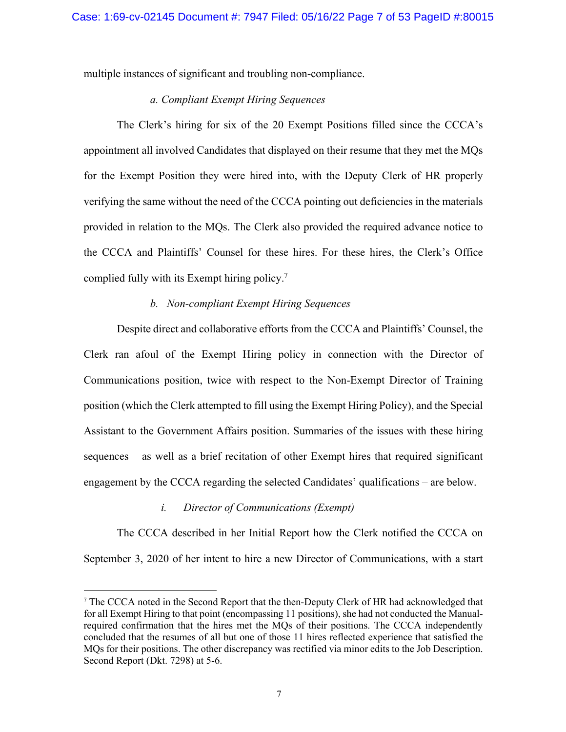multiple instances of significant and troubling non-compliance.

# *a. Compliant Exempt Hiring Sequences*

The Clerk's hiring for six of the 20 Exempt Positions filled since the CCCA's appointment all involved Candidates that displayed on their resume that they met the MQs for the Exempt Position they were hired into, with the Deputy Clerk of HR properly verifying the same without the need of the CCCA pointing out deficiencies in the materials provided in relation to the MQs. The Clerk also provided the required advance notice to the CCCA and Plaintiffs' Counsel for these hires. For these hires, the Clerk's Office complied fully with its Exempt hiring policy.7

### *b. Non-compliant Exempt Hiring Sequences*

Despite direct and collaborative efforts from the CCCA and Plaintiffs' Counsel, the Clerk ran afoul of the Exempt Hiring policy in connection with the Director of Communications position, twice with respect to the Non-Exempt Director of Training position (which the Clerk attempted to fill using the Exempt Hiring Policy), and the Special Assistant to the Government Affairs position. Summaries of the issues with these hiring sequences – as well as a brief recitation of other Exempt hires that required significant engagement by the CCCA regarding the selected Candidates' qualifications – are below.

### *i. Director of Communications (Exempt)*

The CCCA described in her Initial Report how the Clerk notified the CCCA on September 3, 2020 of her intent to hire a new Director of Communications, with a start

<sup>7</sup> The CCCA noted in the Second Report that the then-Deputy Clerk of HR had acknowledged that for all Exempt Hiring to that point (encompassing 11 positions), she had not conducted the Manualrequired confirmation that the hires met the MQs of their positions. The CCCA independently concluded that the resumes of all but one of those 11 hires reflected experience that satisfied the MQs for their positions. The other discrepancy was rectified via minor edits to the Job Description. Second Report (Dkt. 7298) at 5-6.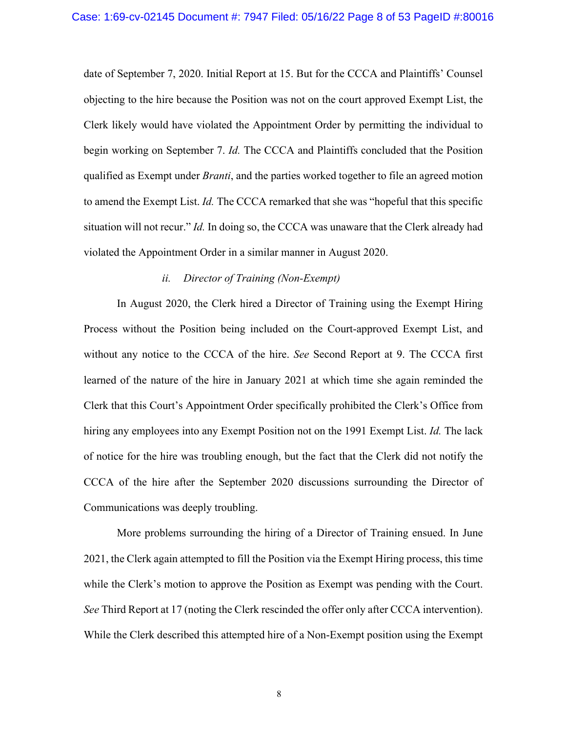date of September 7, 2020. Initial Report at 15. But for the CCCA and Plaintiffs' Counsel objecting to the hire because the Position was not on the court approved Exempt List, the Clerk likely would have violated the Appointment Order by permitting the individual to begin working on September 7. *Id.* The CCCA and Plaintiffs concluded that the Position qualified as Exempt under *Branti*, and the parties worked together to file an agreed motion to amend the Exempt List. *Id.* The CCCA remarked that she was "hopeful that this specific situation will not recur." *Id.* In doing so, the CCCA was unaware that the Clerk already had violated the Appointment Order in a similar manner in August 2020.

### *ii. Director of Training (Non-Exempt)*

In August 2020, the Clerk hired a Director of Training using the Exempt Hiring Process without the Position being included on the Court-approved Exempt List, and without any notice to the CCCA of the hire. *See* Second Report at 9. The CCCA first learned of the nature of the hire in January 2021 at which time she again reminded the Clerk that this Court's Appointment Order specifically prohibited the Clerk's Office from hiring any employees into any Exempt Position not on the 1991 Exempt List. *Id.* The lack of notice for the hire was troubling enough, but the fact that the Clerk did not notify the CCCA of the hire after the September 2020 discussions surrounding the Director of Communications was deeply troubling.

More problems surrounding the hiring of a Director of Training ensued. In June 2021, the Clerk again attempted to fill the Position via the Exempt Hiring process, this time while the Clerk's motion to approve the Position as Exempt was pending with the Court. *See* Third Report at 17 (noting the Clerk rescinded the offer only after CCCA intervention). While the Clerk described this attempted hire of a Non-Exempt position using the Exempt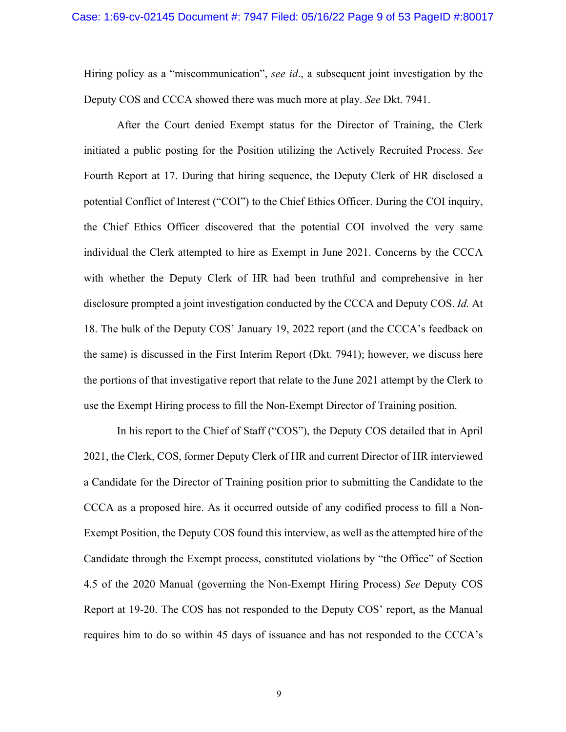Hiring policy as a "miscommunication", *see id*., a subsequent joint investigation by the Deputy COS and CCCA showed there was much more at play. *See* Dkt. 7941.

After the Court denied Exempt status for the Director of Training, the Clerk initiated a public posting for the Position utilizing the Actively Recruited Process. *See*  Fourth Report at 17. During that hiring sequence, the Deputy Clerk of HR disclosed a potential Conflict of Interest ("COI") to the Chief Ethics Officer. During the COI inquiry, the Chief Ethics Officer discovered that the potential COI involved the very same individual the Clerk attempted to hire as Exempt in June 2021. Concerns by the CCCA with whether the Deputy Clerk of HR had been truthful and comprehensive in her disclosure prompted a joint investigation conducted by the CCCA and Deputy COS. *Id.* At 18. The bulk of the Deputy COS' January 19, 2022 report (and the CCCA's feedback on the same) is discussed in the First Interim Report (Dkt. 7941); however, we discuss here the portions of that investigative report that relate to the June 2021 attempt by the Clerk to use the Exempt Hiring process to fill the Non-Exempt Director of Training position.

In his report to the Chief of Staff ("COS"), the Deputy COS detailed that in April 2021, the Clerk, COS, former Deputy Clerk of HR and current Director of HR interviewed a Candidate for the Director of Training position prior to submitting the Candidate to the CCCA as a proposed hire. As it occurred outside of any codified process to fill a Non-Exempt Position, the Deputy COS found this interview, as well as the attempted hire of the Candidate through the Exempt process, constituted violations by "the Office" of Section 4.5 of the 2020 Manual (governing the Non-Exempt Hiring Process) *See* Deputy COS Report at 19-20. The COS has not responded to the Deputy COS' report, as the Manual requires him to do so within 45 days of issuance and has not responded to the CCCA's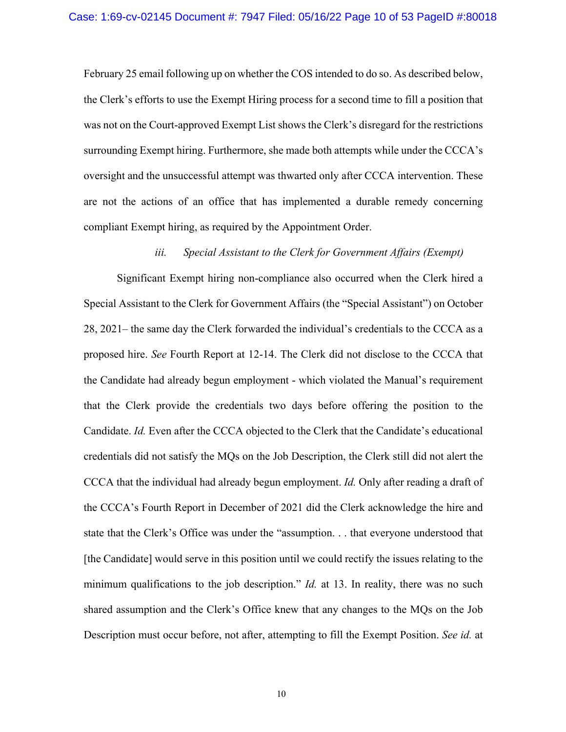February 25 email following up on whether the COS intended to do so. As described below, the Clerk's efforts to use the Exempt Hiring process for a second time to fill a position that was not on the Court-approved Exempt List shows the Clerk's disregard for the restrictions surrounding Exempt hiring. Furthermore, she made both attempts while under the CCCA's oversight and the unsuccessful attempt was thwarted only after CCCA intervention. These are not the actions of an office that has implemented a durable remedy concerning compliant Exempt hiring, as required by the Appointment Order.

### *iii. Special Assistant to the Clerk for Government Affairs (Exempt)*

Significant Exempt hiring non-compliance also occurred when the Clerk hired a Special Assistant to the Clerk for Government Affairs (the "Special Assistant") on October 28, 2021– the same day the Clerk forwarded the individual's credentials to the CCCA as a proposed hire. *See* Fourth Report at 12-14. The Clerk did not disclose to the CCCA that the Candidate had already begun employment - which violated the Manual's requirement that the Clerk provide the credentials two days before offering the position to the Candidate. *Id.* Even after the CCCA objected to the Clerk that the Candidate's educational credentials did not satisfy the MQs on the Job Description, the Clerk still did not alert the CCCA that the individual had already begun employment. *Id.* Only after reading a draft of the CCCA's Fourth Report in December of 2021 did the Clerk acknowledge the hire and state that the Clerk's Office was under the "assumption. . . that everyone understood that [the Candidate] would serve in this position until we could rectify the issues relating to the minimum qualifications to the job description." *Id.* at 13. In reality, there was no such shared assumption and the Clerk's Office knew that any changes to the MQs on the Job Description must occur before, not after, attempting to fill the Exempt Position. *See id.* at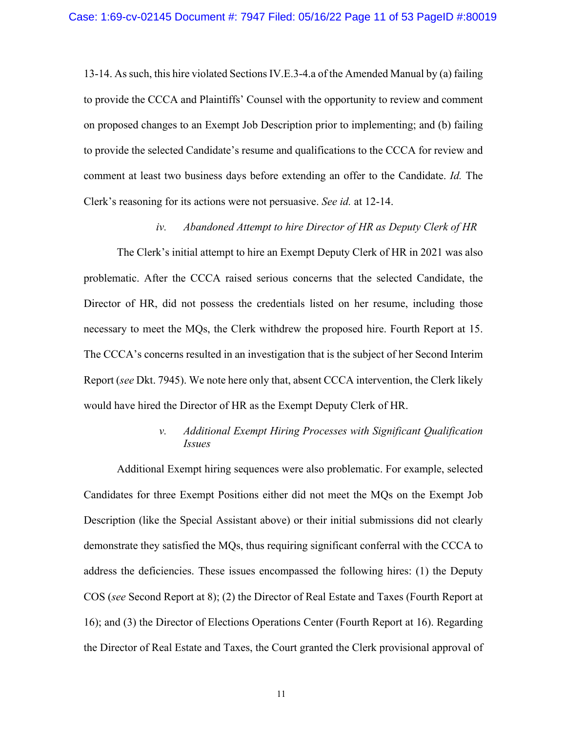13-14. As such, this hire violated SectionsIV.E.3-4.a of the Amended Manual by (a) failing to provide the CCCA and Plaintiffs' Counsel with the opportunity to review and comment on proposed changes to an Exempt Job Description prior to implementing; and (b) failing to provide the selected Candidate's resume and qualifications to the CCCA for review and comment at least two business days before extending an offer to the Candidate. *Id.* The Clerk's reasoning for its actions were not persuasive. *See id.* at 12-14.

#### *iv. Abandoned Attempt to hire Director of HR as Deputy Clerk of HR*

The Clerk's initial attempt to hire an Exempt Deputy Clerk of HR in 2021 was also problematic. After the CCCA raised serious concerns that the selected Candidate, the Director of HR, did not possess the credentials listed on her resume, including those necessary to meet the MQs, the Clerk withdrew the proposed hire. Fourth Report at 15. The CCCA's concerns resulted in an investigation that is the subject of her Second Interim Report (*see* Dkt. 7945). We note here only that, absent CCCA intervention, the Clerk likely would have hired the Director of HR as the Exempt Deputy Clerk of HR.

# *v. Additional Exempt Hiring Processes with Significant Qualification Issues*

Additional Exempt hiring sequences were also problematic. For example, selected Candidates for three Exempt Positions either did not meet the MQs on the Exempt Job Description (like the Special Assistant above) or their initial submissions did not clearly demonstrate they satisfied the MQs, thus requiring significant conferral with the CCCA to address the deficiencies. These issues encompassed the following hires: (1) the Deputy COS (*see* Second Report at 8); (2) the Director of Real Estate and Taxes (Fourth Report at 16); and (3) the Director of Elections Operations Center (Fourth Report at 16). Regarding the Director of Real Estate and Taxes, the Court granted the Clerk provisional approval of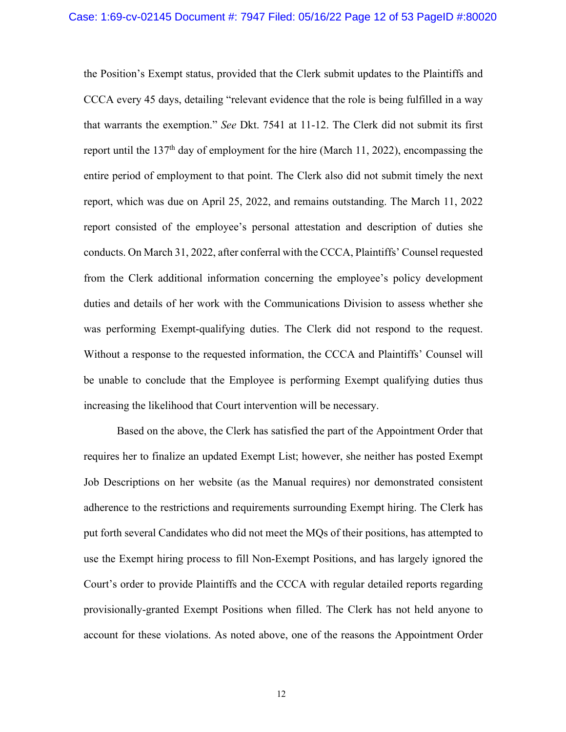the Position's Exempt status, provided that the Clerk submit updates to the Plaintiffs and CCCA every 45 days, detailing "relevant evidence that the role is being fulfilled in a way that warrants the exemption." *See* Dkt. 7541 at 11-12. The Clerk did not submit its first report until the 137th day of employment for the hire (March 11, 2022), encompassing the entire period of employment to that point. The Clerk also did not submit timely the next report, which was due on April 25, 2022, and remains outstanding. The March 11, 2022 report consisted of the employee's personal attestation and description of duties she conducts. On March 31, 2022, after conferral with the CCCA, Plaintiffs' Counsel requested from the Clerk additional information concerning the employee's policy development duties and details of her work with the Communications Division to assess whether she was performing Exempt-qualifying duties. The Clerk did not respond to the request. Without a response to the requested information, the CCCA and Plaintiffs' Counsel will be unable to conclude that the Employee is performing Exempt qualifying duties thus increasing the likelihood that Court intervention will be necessary.

Based on the above, the Clerk has satisfied the part of the Appointment Order that requires her to finalize an updated Exempt List; however, she neither has posted Exempt Job Descriptions on her website (as the Manual requires) nor demonstrated consistent adherence to the restrictions and requirements surrounding Exempt hiring. The Clerk has put forth several Candidates who did not meet the MQs of their positions, has attempted to use the Exempt hiring process to fill Non-Exempt Positions, and has largely ignored the Court's order to provide Plaintiffs and the CCCA with regular detailed reports regarding provisionally-granted Exempt Positions when filled. The Clerk has not held anyone to account for these violations. As noted above, one of the reasons the Appointment Order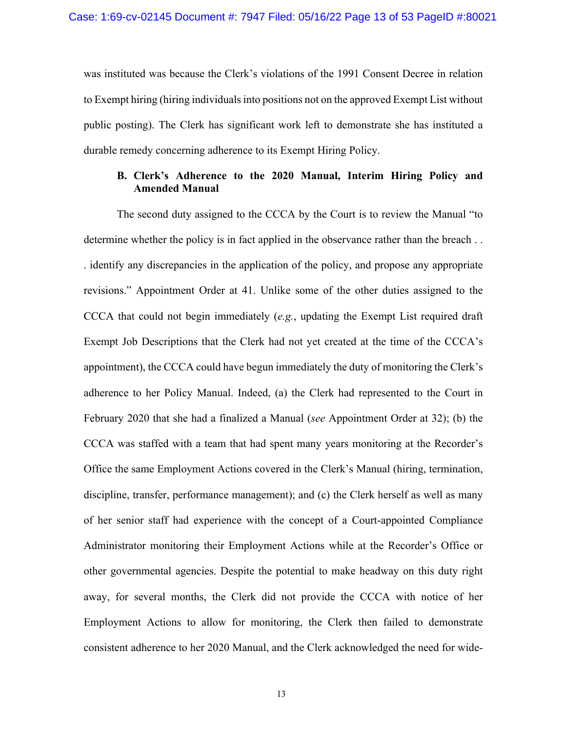was instituted was because the Clerk's violations of the 1991 Consent Decree in relation to Exempt hiring (hiring individuals into positions not on the approved Exempt List without public posting). The Clerk has significant work left to demonstrate she has instituted a durable remedy concerning adherence to its Exempt Hiring Policy.

### **B. Clerk's Adherence to the 2020 Manual, Interim Hiring Policy and Amended Manual**

The second duty assigned to the CCCA by the Court is to review the Manual "to determine whether the policy is in fact applied in the observance rather than the breach . . . identify any discrepancies in the application of the policy, and propose any appropriate revisions." Appointment Order at 41. Unlike some of the other duties assigned to the CCCA that could not begin immediately (*e.g.*, updating the Exempt List required draft Exempt Job Descriptions that the Clerk had not yet created at the time of the CCCA's appointment), the CCCA could have begun immediately the duty of monitoring the Clerk's adherence to her Policy Manual. Indeed, (a) the Clerk had represented to the Court in February 2020 that she had a finalized a Manual (*see* Appointment Order at 32); (b) the CCCA was staffed with a team that had spent many years monitoring at the Recorder's Office the same Employment Actions covered in the Clerk's Manual (hiring, termination, discipline, transfer, performance management); and (c) the Clerk herself as well as many of her senior staff had experience with the concept of a Court-appointed Compliance Administrator monitoring their Employment Actions while at the Recorder's Office or other governmental agencies. Despite the potential to make headway on this duty right away, for several months, the Clerk did not provide the CCCA with notice of her Employment Actions to allow for monitoring, the Clerk then failed to demonstrate consistent adherence to her 2020 Manual, and the Clerk acknowledged the need for wide-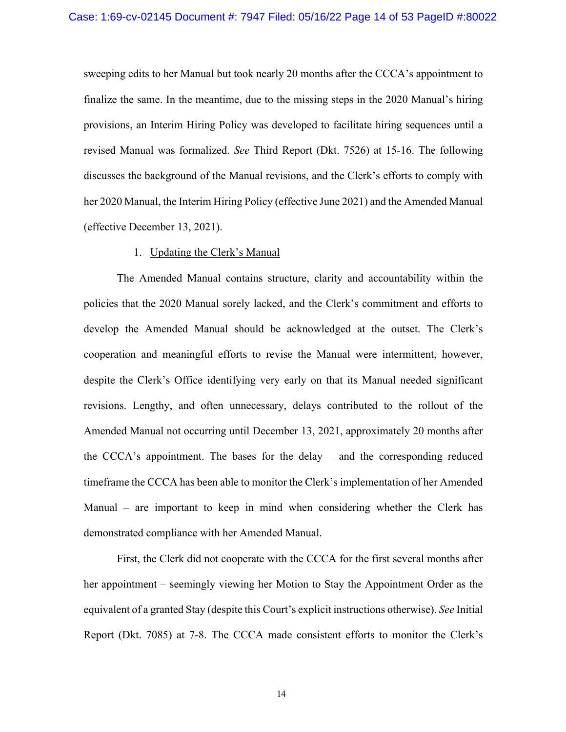sweeping edits to her Manual but took nearly 20 months after the CCCA's appointment to finalize the same. In the meantime, due to the missing steps in the 2020 Manual's hiring provisions, an Interim Hiring Policy was developed to facilitate hiring sequences until a revised Manual was formalized. *See* Third Report (Dkt. 7526) at 15-16. The following discusses the background of the Manual revisions, and the Clerk's efforts to comply with her 2020 Manual, the Interim Hiring Policy (effective June 2021) and the Amended Manual (effective December 13, 2021).

### 1. Updating the Clerk's Manual

The Amended Manual contains structure, clarity and accountability within the policies that the 2020 Manual sorely lacked, and the Clerk's commitment and efforts to develop the Amended Manual should be acknowledged at the outset. The Clerk's cooperation and meaningful efforts to revise the Manual were intermittent, however, despite the Clerk's Office identifying very early on that its Manual needed significant revisions. Lengthy, and often unnecessary, delays contributed to the rollout of the Amended Manual not occurring until December 13, 2021, approximately 20 months after the CCCA's appointment. The bases for the delay – and the corresponding reduced timeframe the CCCA has been able to monitor the Clerk's implementation of her Amended Manual – are important to keep in mind when considering whether the Clerk has demonstrated compliance with her Amended Manual.

First, the Clerk did not cooperate with the CCCA for the first several months after her appointment – seemingly viewing her Motion to Stay the Appointment Order as the equivalent of a granted Stay (despite this Court's explicit instructions otherwise). *See* Initial Report (Dkt. 7085) at 7-8. The CCCA made consistent efforts to monitor the Clerk's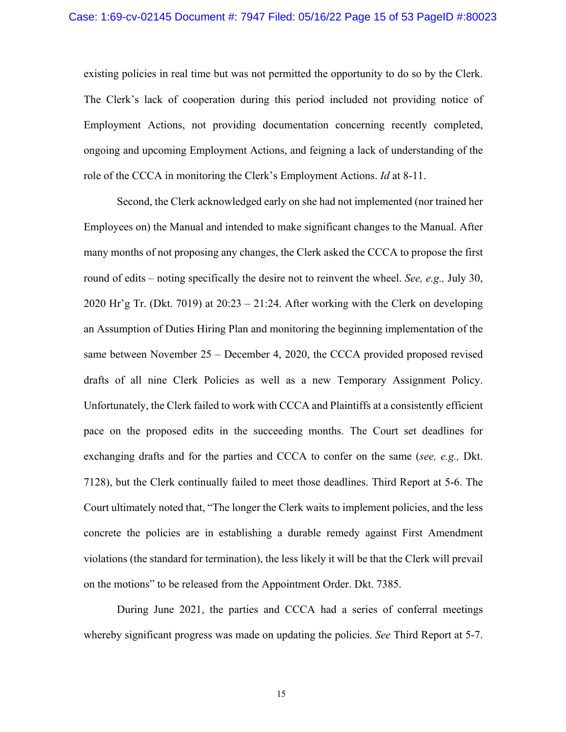existing policies in real time but was not permitted the opportunity to do so by the Clerk. The Clerk's lack of cooperation during this period included not providing notice of Employment Actions, not providing documentation concerning recently completed, ongoing and upcoming Employment Actions, and feigning a lack of understanding of the role of the CCCA in monitoring the Clerk's Employment Actions. *Id* at 8-11.

Second, the Clerk acknowledged early on she had not implemented (nor trained her Employees on) the Manual and intended to make significant changes to the Manual. After many months of not proposing any changes, the Clerk asked the CCCA to propose the first round of edits – noting specifically the desire not to reinvent the wheel. *See, e.g.,* July 30, 2020 Hr'g Tr. (Dkt. 7019) at 20:23 – 21:24. After working with the Clerk on developing an Assumption of Duties Hiring Plan and monitoring the beginning implementation of the same between November 25 – December 4, 2020, the CCCA provided proposed revised drafts of all nine Clerk Policies as well as a new Temporary Assignment Policy. Unfortunately, the Clerk failed to work with CCCA and Plaintiffs at a consistently efficient pace on the proposed edits in the succeeding months. The Court set deadlines for exchanging drafts and for the parties and CCCA to confer on the same (*see, e.g.,* Dkt. 7128), but the Clerk continually failed to meet those deadlines. Third Report at 5-6. The Court ultimately noted that, "The longer the Clerk waits to implement policies, and the less concrete the policies are in establishing a durable remedy against First Amendment violations (the standard for termination), the less likely it will be that the Clerk will prevail on the motions" to be released from the Appointment Order. Dkt. 7385.

During June 2021, the parties and CCCA had a series of conferral meetings whereby significant progress was made on updating the policies. *See* Third Report at 5-7.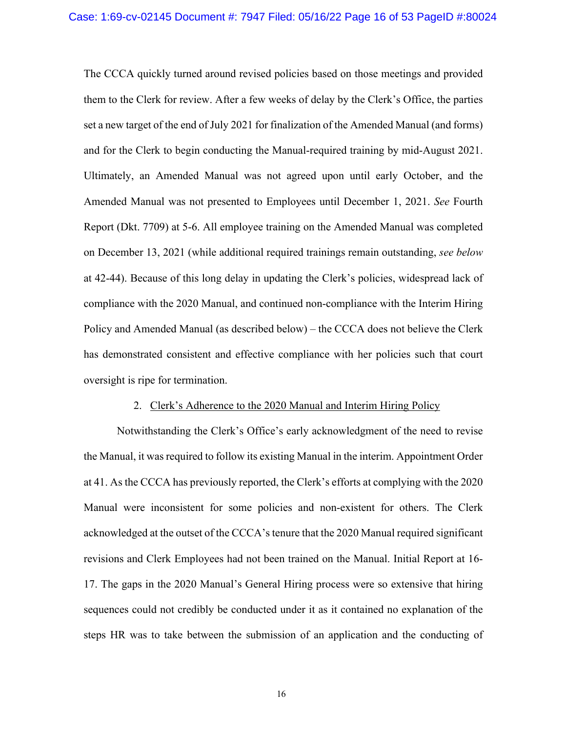The CCCA quickly turned around revised policies based on those meetings and provided them to the Clerk for review. After a few weeks of delay by the Clerk's Office, the parties set a new target of the end of July 2021 for finalization of the Amended Manual (and forms) and for the Clerk to begin conducting the Manual-required training by mid-August 2021. Ultimately, an Amended Manual was not agreed upon until early October, and the Amended Manual was not presented to Employees until December 1, 2021. *See* Fourth Report (Dkt. 7709) at 5-6. All employee training on the Amended Manual was completed on December 13, 2021 (while additional required trainings remain outstanding, *see below* at 42-44). Because of this long delay in updating the Clerk's policies, widespread lack of compliance with the 2020 Manual, and continued non-compliance with the Interim Hiring Policy and Amended Manual (as described below) – the CCCA does not believe the Clerk has demonstrated consistent and effective compliance with her policies such that court oversight is ripe for termination.

#### 2. Clerk's Adherence to the 2020 Manual and Interim Hiring Policy

Notwithstanding the Clerk's Office's early acknowledgment of the need to revise the Manual, it was required to follow its existing Manual in the interim. Appointment Order at 41. As the CCCA has previously reported, the Clerk's efforts at complying with the 2020 Manual were inconsistent for some policies and non-existent for others. The Clerk acknowledged at the outset of the CCCA's tenure that the 2020 Manual required significant revisions and Clerk Employees had not been trained on the Manual. Initial Report at 16- 17. The gaps in the 2020 Manual's General Hiring process were so extensive that hiring sequences could not credibly be conducted under it as it contained no explanation of the steps HR was to take between the submission of an application and the conducting of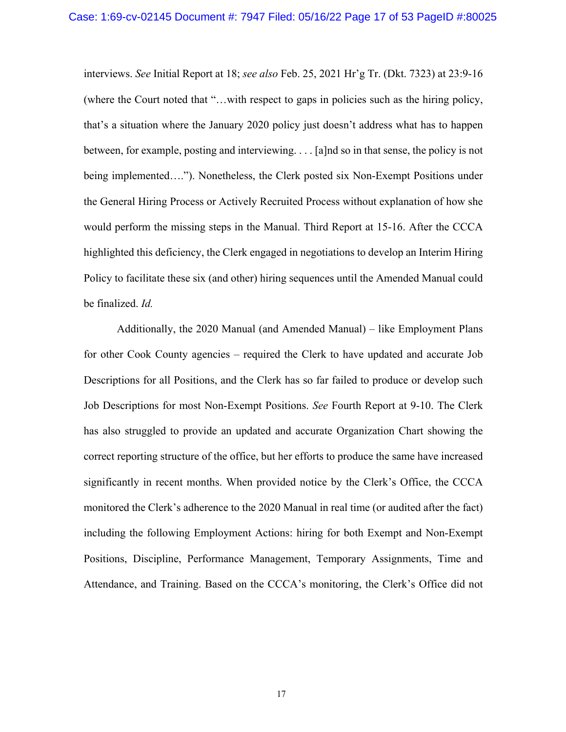interviews. *See* Initial Report at 18; *see also* Feb. 25, 2021 Hr'g Tr. (Dkt. 7323) at 23:9-16 (where the Court noted that "…with respect to gaps in policies such as the hiring policy, that's a situation where the January 2020 policy just doesn't address what has to happen between, for example, posting and interviewing. . . . [a]nd so in that sense, the policy is not being implemented…."). Nonetheless, the Clerk posted six Non-Exempt Positions under the General Hiring Process or Actively Recruited Process without explanation of how she would perform the missing steps in the Manual. Third Report at 15-16. After the CCCA highlighted this deficiency, the Clerk engaged in negotiations to develop an Interim Hiring Policy to facilitate these six (and other) hiring sequences until the Amended Manual could be finalized. *Id.* 

Additionally, the 2020 Manual (and Amended Manual) – like Employment Plans for other Cook County agencies – required the Clerk to have updated and accurate Job Descriptions for all Positions, and the Clerk has so far failed to produce or develop such Job Descriptions for most Non-Exempt Positions. *See* Fourth Report at 9-10. The Clerk has also struggled to provide an updated and accurate Organization Chart showing the correct reporting structure of the office, but her efforts to produce the same have increased significantly in recent months. When provided notice by the Clerk's Office, the CCCA monitored the Clerk's adherence to the 2020 Manual in real time (or audited after the fact) including the following Employment Actions: hiring for both Exempt and Non-Exempt Positions, Discipline, Performance Management, Temporary Assignments, Time and Attendance, and Training. Based on the CCCA's monitoring, the Clerk's Office did not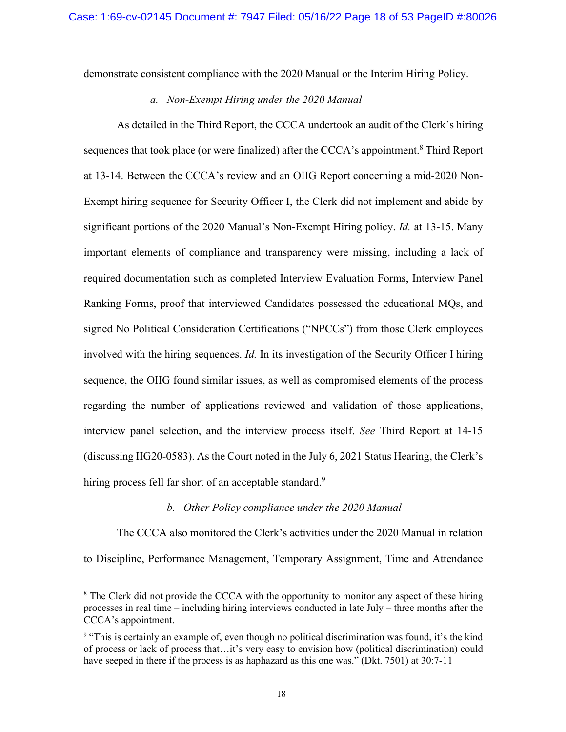demonstrate consistent compliance with the 2020 Manual or the Interim Hiring Policy.

### *a. Non-Exempt Hiring under the 2020 Manual*

As detailed in the Third Report, the CCCA undertook an audit of the Clerk's hiring sequences that took place (or were finalized) after the CCCA's appointment.<sup>8</sup> Third Report at 13-14. Between the CCCA's review and an OIIG Report concerning a mid-2020 Non-Exempt hiring sequence for Security Officer I, the Clerk did not implement and abide by significant portions of the 2020 Manual's Non-Exempt Hiring policy. *Id.* at 13-15. Many important elements of compliance and transparency were missing, including a lack of required documentation such as completed Interview Evaluation Forms, Interview Panel Ranking Forms, proof that interviewed Candidates possessed the educational MQs, and signed No Political Consideration Certifications ("NPCCs") from those Clerk employees involved with the hiring sequences. *Id.* In its investigation of the Security Officer I hiring sequence, the OIIG found similar issues, as well as compromised elements of the process regarding the number of applications reviewed and validation of those applications, interview panel selection, and the interview process itself. *See* Third Report at 14-15 (discussing IIG20-0583). As the Court noted in the July 6, 2021 Status Hearing, the Clerk's hiring process fell far short of an acceptable standard.<sup>9</sup>

#### *b. Other Policy compliance under the 2020 Manual*

The CCCA also monitored the Clerk's activities under the 2020 Manual in relation to Discipline, Performance Management, Temporary Assignment, Time and Attendance

<sup>&</sup>lt;sup>8</sup> The Clerk did not provide the CCCA with the opportunity to monitor any aspect of these hiring processes in real time – including hiring interviews conducted in late July – three months after the CCCA's appointment.

<sup>9</sup> "This is certainly an example of, even though no political discrimination was found, it's the kind of process or lack of process that…it's very easy to envision how (political discrimination) could have seeped in there if the process is as haphazard as this one was." (Dkt. 7501) at 30:7-11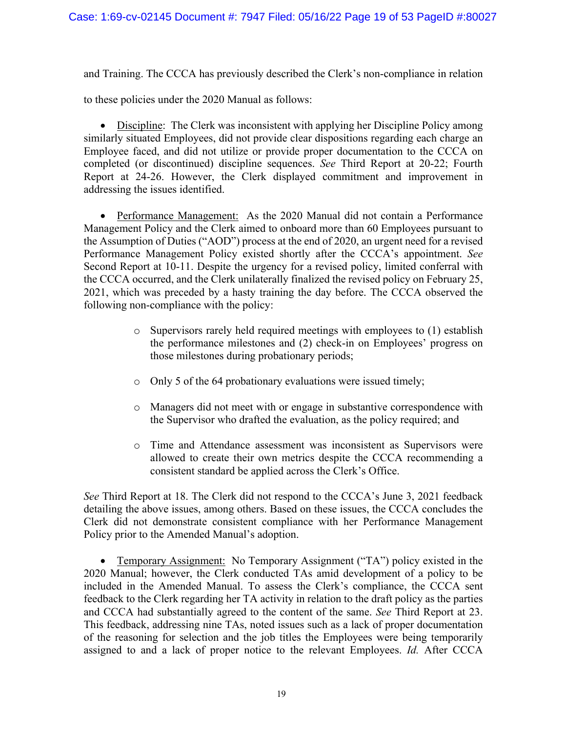and Training. The CCCA has previously described the Clerk's non-compliance in relation

to these policies under the 2020 Manual as follows:

• Discipline: The Clerk was inconsistent with applying her Discipline Policy among similarly situated Employees, did not provide clear dispositions regarding each charge an Employee faced, and did not utilize or provide proper documentation to the CCCA on completed (or discontinued) discipline sequences. *See* Third Report at 20-22; Fourth Report at 24-26. However, the Clerk displayed commitment and improvement in addressing the issues identified.

• Performance Management: As the 2020 Manual did not contain a Performance Management Policy and the Clerk aimed to onboard more than 60 Employees pursuant to the Assumption of Duties ("AOD") process at the end of 2020, an urgent need for a revised Performance Management Policy existed shortly after the CCCA's appointment. *See*  Second Report at 10-11. Despite the urgency for a revised policy, limited conferral with the CCCA occurred, and the Clerk unilaterally finalized the revised policy on February 25, 2021, which was preceded by a hasty training the day before. The CCCA observed the following non-compliance with the policy:

- o Supervisors rarely held required meetings with employees to (1) establish the performance milestones and (2) check-in on Employees' progress on those milestones during probationary periods;
- o Only 5 of the 64 probationary evaluations were issued timely;
- o Managers did not meet with or engage in substantive correspondence with the Supervisor who drafted the evaluation, as the policy required; and
- o Time and Attendance assessment was inconsistent as Supervisors were allowed to create their own metrics despite the CCCA recommending a consistent standard be applied across the Clerk's Office.

*See* Third Report at 18. The Clerk did not respond to the CCCA's June 3, 2021 feedback detailing the above issues, among others. Based on these issues, the CCCA concludes the Clerk did not demonstrate consistent compliance with her Performance Management Policy prior to the Amended Manual's adoption.

• Temporary Assignment: No Temporary Assignment ("TA") policy existed in the 2020 Manual; however, the Clerk conducted TAs amid development of a policy to be included in the Amended Manual. To assess the Clerk's compliance, the CCCA sent feedback to the Clerk regarding her TA activity in relation to the draft policy as the parties and CCCA had substantially agreed to the content of the same. *See* Third Report at 23. This feedback, addressing nine TAs, noted issues such as a lack of proper documentation of the reasoning for selection and the job titles the Employees were being temporarily assigned to and a lack of proper notice to the relevant Employees. *Id.* After CCCA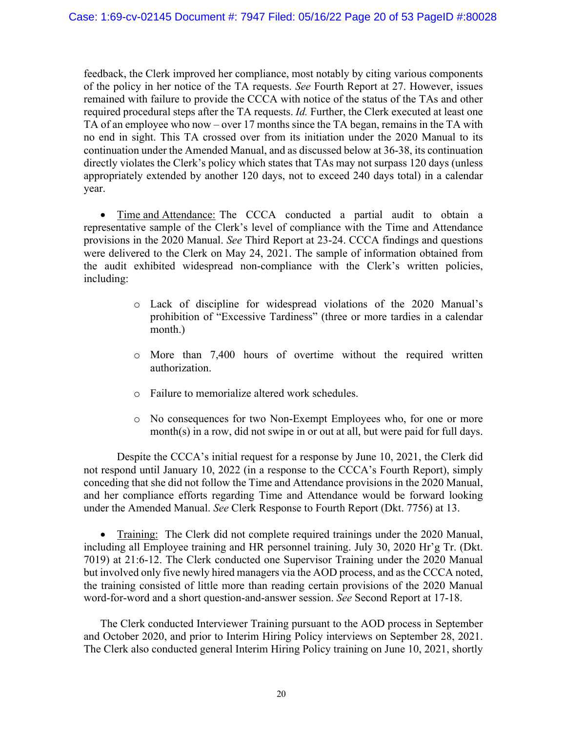feedback, the Clerk improved her compliance, most notably by citing various components of the policy in her notice of the TA requests. *See* Fourth Report at 27. However, issues remained with failure to provide the CCCA with notice of the status of the TAs and other required procedural steps after the TA requests. *Id.* Further, the Clerk executed at least one TA of an employee who now – over 17 months since the TA began, remains in the TA with no end in sight. This TA crossed over from its initiation under the 2020 Manual to its continuation under the Amended Manual, and as discussed below at 36-38, its continuation directly violates the Clerk's policy which states that TAs may not surpass 120 days (unless appropriately extended by another 120 days, not to exceed 240 days total) in a calendar year.

• Time and Attendance: The CCCA conducted a partial audit to obtain a representative sample of the Clerk's level of compliance with the Time and Attendance provisions in the 2020 Manual. *See* Third Report at 23-24. CCCA findings and questions were delivered to the Clerk on May 24, 2021. The sample of information obtained from the audit exhibited widespread non-compliance with the Clerk's written policies, including:

- o Lack of discipline for widespread violations of the 2020 Manual's prohibition of "Excessive Tardiness" (three or more tardies in a calendar month.)
- o More than 7,400 hours of overtime without the required written authorization.
- o Failure to memorialize altered work schedules.
- o No consequences for two Non-Exempt Employees who, for one or more month(s) in a row, did not swipe in or out at all, but were paid for full days.

Despite the CCCA's initial request for a response by June 10, 2021, the Clerk did not respond until January 10, 2022 (in a response to the CCCA's Fourth Report), simply conceding that she did not follow the Time and Attendance provisions in the 2020 Manual, and her compliance efforts regarding Time and Attendance would be forward looking under the Amended Manual. *See* Clerk Response to Fourth Report (Dkt. 7756) at 13.

• Training: The Clerk did not complete required trainings under the 2020 Manual, including all Employee training and HR personnel training. July 30, 2020 Hr'g Tr. (Dkt. 7019) at 21:6-12. The Clerk conducted one Supervisor Training under the 2020 Manual but involved only five newly hired managers via the AOD process, and as the CCCA noted, the training consisted of little more than reading certain provisions of the 2020 Manual word-for-word and a short question-and-answer session. *See* Second Report at 17-18.

The Clerk conducted Interviewer Training pursuant to the AOD process in September and October 2020, and prior to Interim Hiring Policy interviews on September 28, 2021. The Clerk also conducted general Interim Hiring Policy training on June 10, 2021, shortly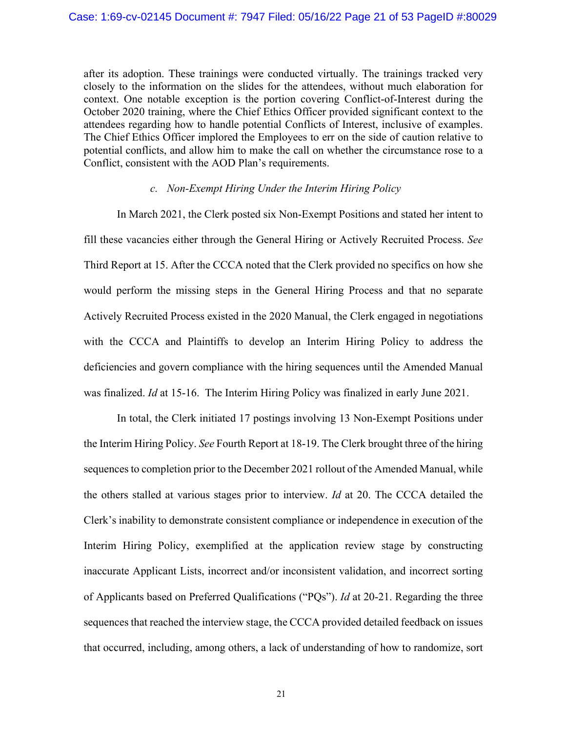after its adoption. These trainings were conducted virtually. The trainings tracked very closely to the information on the slides for the attendees, without much elaboration for context. One notable exception is the portion covering Conflict-of-Interest during the October 2020 training, where the Chief Ethics Officer provided significant context to the attendees regarding how to handle potential Conflicts of Interest, inclusive of examples. The Chief Ethics Officer implored the Employees to err on the side of caution relative to potential conflicts, and allow him to make the call on whether the circumstance rose to a Conflict, consistent with the AOD Plan's requirements.

### *c. Non-Exempt Hiring Under the Interim Hiring Policy*

In March 2021, the Clerk posted six Non-Exempt Positions and stated her intent to fill these vacancies either through the General Hiring or Actively Recruited Process. *See*  Third Report at 15. After the CCCA noted that the Clerk provided no specifics on how she would perform the missing steps in the General Hiring Process and that no separate Actively Recruited Process existed in the 2020 Manual, the Clerk engaged in negotiations with the CCCA and Plaintiffs to develop an Interim Hiring Policy to address the deficiencies and govern compliance with the hiring sequences until the Amended Manual was finalized. *Id* at 15-16. The Interim Hiring Policy was finalized in early June 2021.

In total, the Clerk initiated 17 postings involving 13 Non-Exempt Positions under the Interim Hiring Policy. *See* Fourth Report at 18-19. The Clerk brought three of the hiring sequences to completion prior to the December 2021 rollout of the Amended Manual, while the others stalled at various stages prior to interview. *Id* at 20. The CCCA detailed the Clerk's inability to demonstrate consistent compliance or independence in execution of the Interim Hiring Policy, exemplified at the application review stage by constructing inaccurate Applicant Lists, incorrect and/or inconsistent validation, and incorrect sorting of Applicants based on Preferred Qualifications ("PQs"). *Id* at 20-21. Regarding the three sequences that reached the interview stage, the CCCA provided detailed feedback on issues that occurred, including, among others, a lack of understanding of how to randomize, sort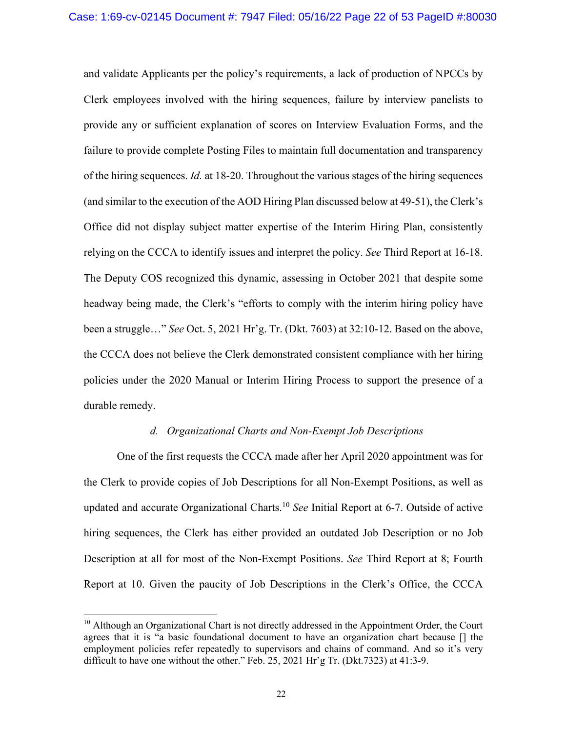and validate Applicants per the policy's requirements, a lack of production of NPCCs by Clerk employees involved with the hiring sequences, failure by interview panelists to provide any or sufficient explanation of scores on Interview Evaluation Forms, and the failure to provide complete Posting Files to maintain full documentation and transparency of the hiring sequences. *Id.* at 18-20. Throughout the various stages of the hiring sequences (and similar to the execution of the AOD Hiring Plan discussed below at 49-51), the Clerk's Office did not display subject matter expertise of the Interim Hiring Plan, consistently relying on the CCCA to identify issues and interpret the policy. *See* Third Report at 16-18. The Deputy COS recognized this dynamic, assessing in October 2021 that despite some headway being made, the Clerk's "efforts to comply with the interim hiring policy have been a struggle…" *See* Oct. 5, 2021 Hr'g. Tr. (Dkt. 7603) at 32:10-12. Based on the above, the CCCA does not believe the Clerk demonstrated consistent compliance with her hiring policies under the 2020 Manual or Interim Hiring Process to support the presence of a durable remedy.

### *d. Organizational Charts and Non-Exempt Job Descriptions*

One of the first requests the CCCA made after her April 2020 appointment was for the Clerk to provide copies of Job Descriptions for all Non-Exempt Positions, as well as updated and accurate Organizational Charts.10 *See* Initial Report at 6-7. Outside of active hiring sequences, the Clerk has either provided an outdated Job Description or no Job Description at all for most of the Non-Exempt Positions. *See* Third Report at 8; Fourth Report at 10. Given the paucity of Job Descriptions in the Clerk's Office, the CCCA

<sup>&</sup>lt;sup>10</sup> Although an Organizational Chart is not directly addressed in the Appointment Order, the Court agrees that it is "a basic foundational document to have an organization chart because [] the employment policies refer repeatedly to supervisors and chains of command. And so it's very difficult to have one without the other." Feb. 25, 2021 Hr'g Tr. (Dkt.7323) at 41:3-9.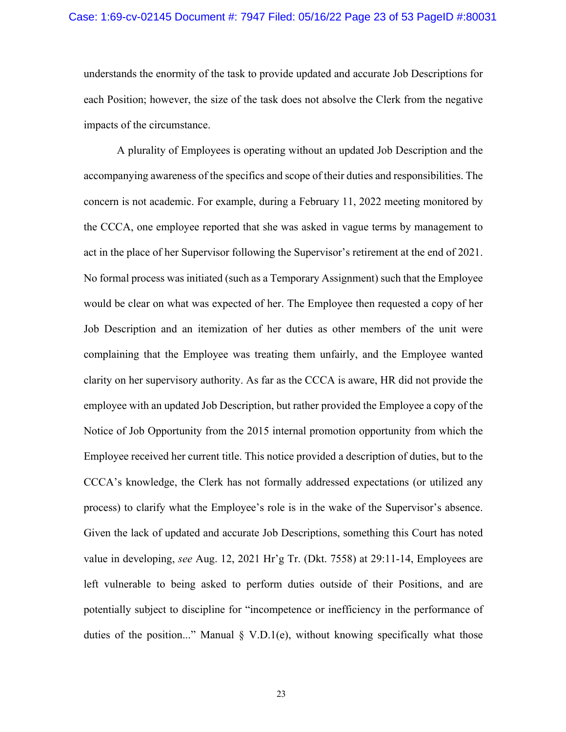### Case: 1:69-cv-02145 Document #: 7947 Filed: 05/16/22 Page 23 of 53 PageID #:80031

understands the enormity of the task to provide updated and accurate Job Descriptions for each Position; however, the size of the task does not absolve the Clerk from the negative impacts of the circumstance.

A plurality of Employees is operating without an updated Job Description and the accompanying awareness of the specifics and scope of their duties and responsibilities. The concern is not academic. For example, during a February 11, 2022 meeting monitored by the CCCA, one employee reported that she was asked in vague terms by management to act in the place of her Supervisor following the Supervisor's retirement at the end of 2021. No formal process was initiated (such as a Temporary Assignment) such that the Employee would be clear on what was expected of her. The Employee then requested a copy of her Job Description and an itemization of her duties as other members of the unit were complaining that the Employee was treating them unfairly, and the Employee wanted clarity on her supervisory authority. As far as the CCCA is aware, HR did not provide the employee with an updated Job Description, but rather provided the Employee a copy of the Notice of Job Opportunity from the 2015 internal promotion opportunity from which the Employee received her current title. This notice provided a description of duties, but to the CCCA's knowledge, the Clerk has not formally addressed expectations (or utilized any process) to clarify what the Employee's role is in the wake of the Supervisor's absence. Given the lack of updated and accurate Job Descriptions, something this Court has noted value in developing, *see* Aug. 12, 2021 Hr'g Tr. (Dkt. 7558) at 29:11-14, Employees are left vulnerable to being asked to perform duties outside of their Positions, and are potentially subject to discipline for "incompetence or inefficiency in the performance of duties of the position..." Manual § V.D.1(e), without knowing specifically what those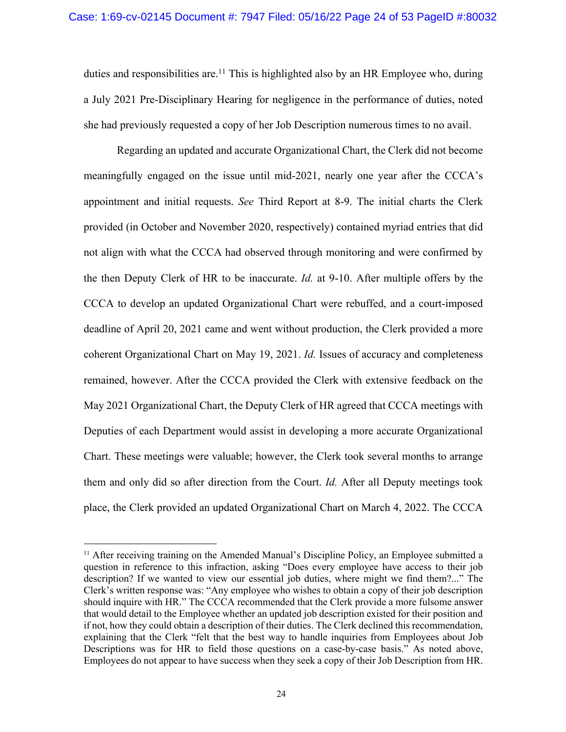duties and responsibilities are.<sup>11</sup> This is highlighted also by an HR Employee who, during a July 2021 Pre-Disciplinary Hearing for negligence in the performance of duties, noted she had previously requested a copy of her Job Description numerous times to no avail.

Regarding an updated and accurate Organizational Chart, the Clerk did not become meaningfully engaged on the issue until mid-2021, nearly one year after the CCCA's appointment and initial requests. *See* Third Report at 8-9. The initial charts the Clerk provided (in October and November 2020, respectively) contained myriad entries that did not align with what the CCCA had observed through monitoring and were confirmed by the then Deputy Clerk of HR to be inaccurate. *Id.* at 9-10. After multiple offers by the CCCA to develop an updated Organizational Chart were rebuffed, and a court-imposed deadline of April 20, 2021 came and went without production, the Clerk provided a more coherent Organizational Chart on May 19, 2021. *Id.* Issues of accuracy and completeness remained, however. After the CCCA provided the Clerk with extensive feedback on the May 2021 Organizational Chart, the Deputy Clerk of HR agreed that CCCA meetings with Deputies of each Department would assist in developing a more accurate Organizational Chart. These meetings were valuable; however, the Clerk took several months to arrange them and only did so after direction from the Court. *Id.* After all Deputy meetings took place, the Clerk provided an updated Organizational Chart on March 4, 2022. The CCCA

<sup>&</sup>lt;sup>11</sup> After receiving training on the Amended Manual's Discipline Policy, an Employee submitted a question in reference to this infraction, asking "Does every employee have access to their job description? If we wanted to view our essential job duties, where might we find them?..." The Clerk's written response was: "Any employee who wishes to obtain a copy of their job description should inquire with HR." The CCCA recommended that the Clerk provide a more fulsome answer that would detail to the Employee whether an updated job description existed for their position and if not, how they could obtain a description of their duties. The Clerk declined this recommendation, explaining that the Clerk "felt that the best way to handle inquiries from Employees about Job Descriptions was for HR to field those questions on a case-by-case basis." As noted above, Employees do not appear to have success when they seek a copy of their Job Description from HR.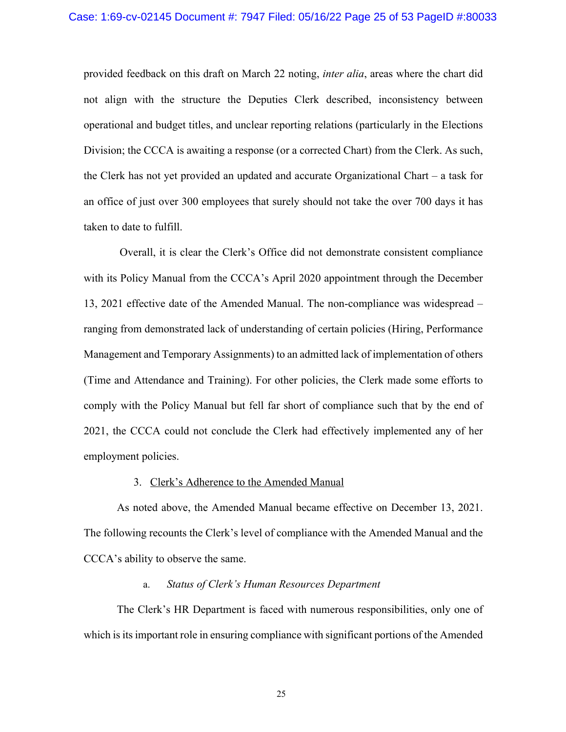provided feedback on this draft on March 22 noting, *inter alia*, areas where the chart did not align with the structure the Deputies Clerk described, inconsistency between operational and budget titles, and unclear reporting relations (particularly in the Elections Division; the CCCA is awaiting a response (or a corrected Chart) from the Clerk. As such, the Clerk has not yet provided an updated and accurate Organizational Chart – a task for an office of just over 300 employees that surely should not take the over 700 days it has taken to date to fulfill.

Overall, it is clear the Clerk's Office did not demonstrate consistent compliance with its Policy Manual from the CCCA's April 2020 appointment through the December 13, 2021 effective date of the Amended Manual. The non-compliance was widespread – ranging from demonstrated lack of understanding of certain policies (Hiring, Performance Management and Temporary Assignments) to an admitted lack of implementation of others (Time and Attendance and Training). For other policies, the Clerk made some efforts to comply with the Policy Manual but fell far short of compliance such that by the end of 2021, the CCCA could not conclude the Clerk had effectively implemented any of her employment policies.

### 3. Clerk's Adherence to the Amended Manual

As noted above, the Amended Manual became effective on December 13, 2021. The following recounts the Clerk's level of compliance with the Amended Manual and the CCCA's ability to observe the same.

# a. *Status of Clerk's Human Resources Department*

The Clerk's HR Department is faced with numerous responsibilities, only one of which is its important role in ensuring compliance with significant portions of the Amended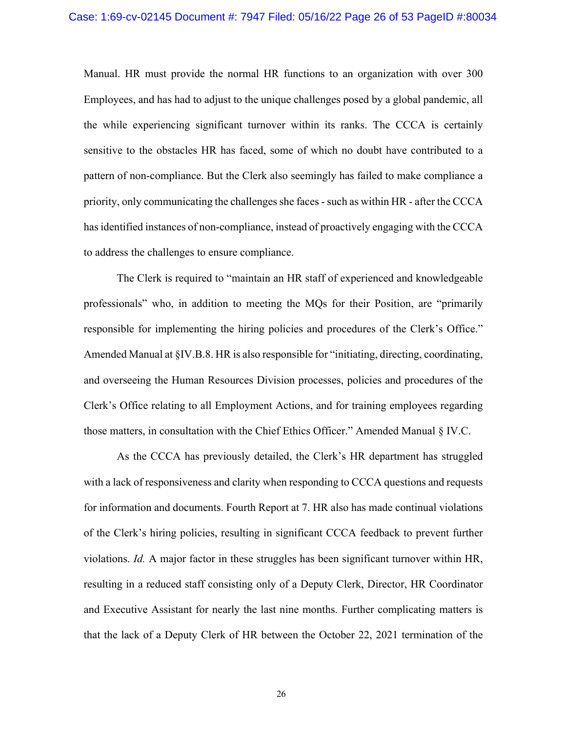Manual. HR must provide the normal HR functions to an organization with over 300 Employees, and has had to adjust to the unique challenges posed by a global pandemic, all the while experiencing significant turnover within its ranks. The CCCA is certainly sensitive to the obstacles HR has faced, some of which no doubt have contributed to a pattern of non-compliance. But the Clerk also seemingly has failed to make compliance a priority, only communicating the challenges she faces -such as within HR - after the CCCA has identified instances of non-compliance, instead of proactively engaging with the CCCA to address the challenges to ensure compliance.

The Clerk is required to "maintain an HR staff of experienced and knowledgeable professionals" who, in addition to meeting the MQs for their Position, are "primarily responsible for implementing the hiring policies and procedures of the Clerk's Office." Amended Manual at §IV.B.8. HR is also responsible for "initiating, directing, coordinating, and overseeing the Human Resources Division processes, policies and procedures of the Clerk's Office relating to all Employment Actions, and for training employees regarding those matters, in consultation with the Chief Ethics Officer." Amended Manual § IV.C.

As the CCCA has previously detailed, the Clerk's HR department has struggled with a lack of responsiveness and clarity when responding to CCCA questions and requests for information and documents. Fourth Report at 7. HR also has made continual violations of the Clerk's hiring policies, resulting in significant CCCA feedback to prevent further violations. *Id.* A major factor in these struggles has been significant turnover within HR, resulting in a reduced staff consisting only of a Deputy Clerk, Director, HR Coordinator and Executive Assistant for nearly the last nine months. Further complicating matters is that the lack of a Deputy Clerk of HR between the October 22, 2021 termination of the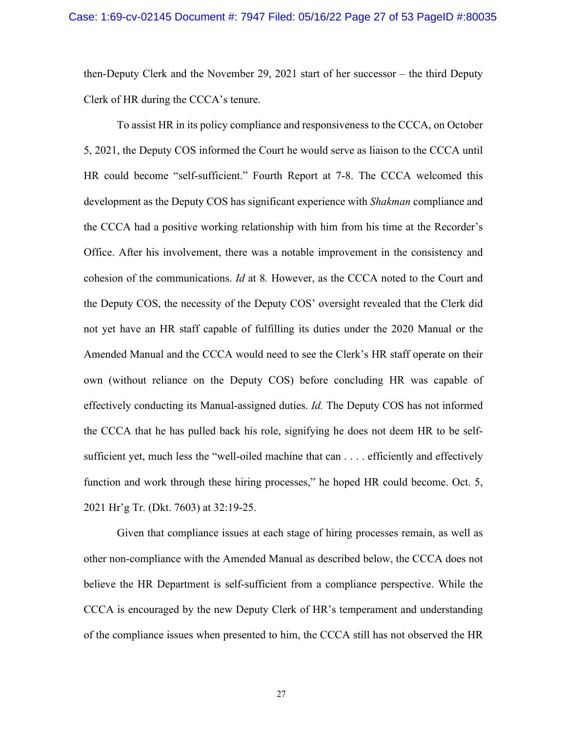then-Deputy Clerk and the November 29, 2021 start of her successor – the third Deputy Clerk of HR during the CCCA's tenure.

To assist HR in its policy compliance and responsiveness to the CCCA, on October 5, 2021, the Deputy COS informed the Court he would serve as liaison to the CCCA until HR could become "self-sufficient." Fourth Report at 7-8. The CCCA welcomed this development as the Deputy COS has significant experience with *Shakman* compliance and the CCCA had a positive working relationship with him from his time at the Recorder's Office. After his involvement, there was a notable improvement in the consistency and cohesion of the communications. *Id* at 8*.* However, as the CCCA noted to the Court and the Deputy COS, the necessity of the Deputy COS' oversight revealed that the Clerk did not yet have an HR staff capable of fulfilling its duties under the 2020 Manual or the Amended Manual and the CCCA would need to see the Clerk's HR staff operate on their own (without reliance on the Deputy COS) before concluding HR was capable of effectively conducting its Manual-assigned duties. *Id.* The Deputy COS has not informed the CCCA that he has pulled back his role, signifying he does not deem HR to be selfsufficient yet, much less the "well-oiled machine that can . . . . efficiently and effectively function and work through these hiring processes," he hoped HR could become. Oct. 5, 2021 Hr'g Tr. (Dkt. 7603) at 32:19-25.

Given that compliance issues at each stage of hiring processes remain, as well as other non-compliance with the Amended Manual as described below, the CCCA does not believe the HR Department is self-sufficient from a compliance perspective. While the CCCA is encouraged by the new Deputy Clerk of HR's temperament and understanding of the compliance issues when presented to him, the CCCA still has not observed the HR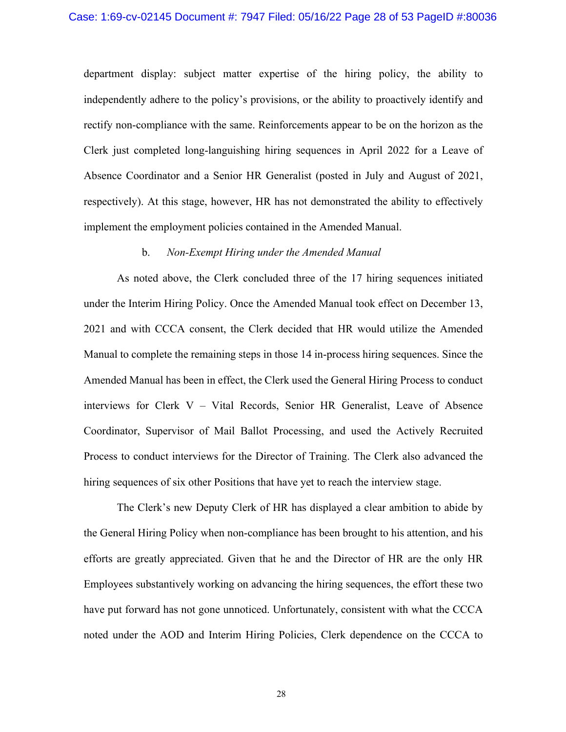department display: subject matter expertise of the hiring policy, the ability to independently adhere to the policy's provisions, or the ability to proactively identify and rectify non-compliance with the same. Reinforcements appear to be on the horizon as the Clerk just completed long-languishing hiring sequences in April 2022 for a Leave of Absence Coordinator and a Senior HR Generalist (posted in July and August of 2021, respectively). At this stage, however, HR has not demonstrated the ability to effectively implement the employment policies contained in the Amended Manual.

#### b. *Non-Exempt Hiring under the Amended Manual*

As noted above, the Clerk concluded three of the 17 hiring sequences initiated under the Interim Hiring Policy. Once the Amended Manual took effect on December 13, 2021 and with CCCA consent, the Clerk decided that HR would utilize the Amended Manual to complete the remaining steps in those 14 in-process hiring sequences. Since the Amended Manual has been in effect, the Clerk used the General Hiring Process to conduct interviews for Clerk V – Vital Records, Senior HR Generalist, Leave of Absence Coordinator, Supervisor of Mail Ballot Processing, and used the Actively Recruited Process to conduct interviews for the Director of Training. The Clerk also advanced the hiring sequences of six other Positions that have yet to reach the interview stage.

The Clerk's new Deputy Clerk of HR has displayed a clear ambition to abide by the General Hiring Policy when non-compliance has been brought to his attention, and his efforts are greatly appreciated. Given that he and the Director of HR are the only HR Employees substantively working on advancing the hiring sequences, the effort these two have put forward has not gone unnoticed. Unfortunately, consistent with what the CCCA noted under the AOD and Interim Hiring Policies, Clerk dependence on the CCCA to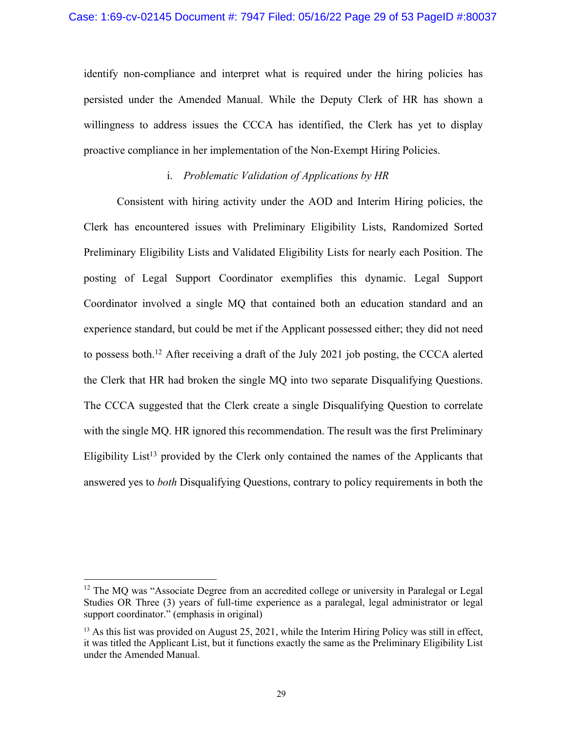identify non-compliance and interpret what is required under the hiring policies has persisted under the Amended Manual. While the Deputy Clerk of HR has shown a willingness to address issues the CCCA has identified, the Clerk has yet to display proactive compliance in her implementation of the Non-Exempt Hiring Policies.

### i. *Problematic Validation of Applications by HR*

Consistent with hiring activity under the AOD and Interim Hiring policies, the Clerk has encountered issues with Preliminary Eligibility Lists, Randomized Sorted Preliminary Eligibility Lists and Validated Eligibility Lists for nearly each Position. The posting of Legal Support Coordinator exemplifies this dynamic. Legal Support Coordinator involved a single MQ that contained both an education standard and an experience standard, but could be met if the Applicant possessed either; they did not need to possess both.12 After receiving a draft of the July 2021 job posting, the CCCA alerted the Clerk that HR had broken the single MQ into two separate Disqualifying Questions. The CCCA suggested that the Clerk create a single Disqualifying Question to correlate with the single MQ. HR ignored this recommendation. The result was the first Preliminary Eligibility List<sup>13</sup> provided by the Clerk only contained the names of the Applicants that answered yes to *both* Disqualifying Questions, contrary to policy requirements in both the

<sup>&</sup>lt;sup>12</sup> The MQ was "Associate Degree from an accredited college or university in Paralegal or Legal Studies OR Three (3) years of full-time experience as a paralegal, legal administrator or legal support coordinator." (emphasis in original)

<sup>&</sup>lt;sup>13</sup> As this list was provided on August 25, 2021, while the Interim Hiring Policy was still in effect, it was titled the Applicant List, but it functions exactly the same as the Preliminary Eligibility List under the Amended Manual.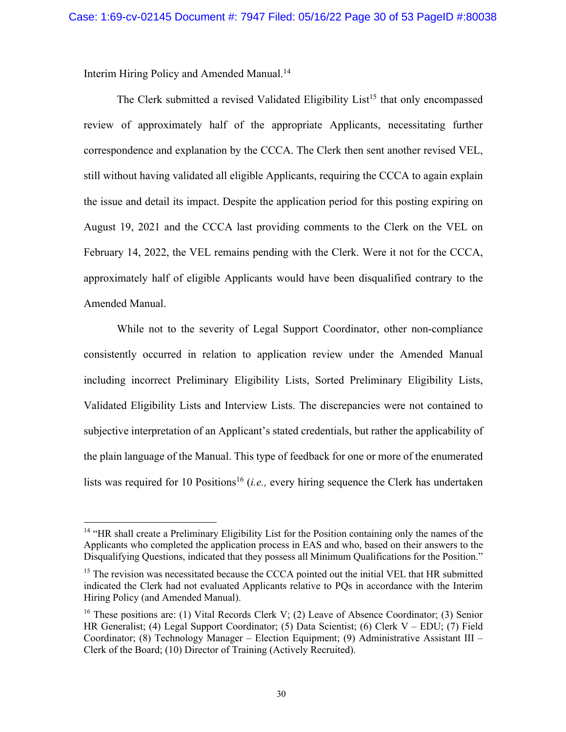Interim Hiring Policy and Amended Manual.14

The Clerk submitted a revised Validated Eligibility List<sup>15</sup> that only encompassed review of approximately half of the appropriate Applicants, necessitating further correspondence and explanation by the CCCA. The Clerk then sent another revised VEL, still without having validated all eligible Applicants, requiring the CCCA to again explain the issue and detail its impact. Despite the application period for this posting expiring on August 19, 2021 and the CCCA last providing comments to the Clerk on the VEL on February 14, 2022, the VEL remains pending with the Clerk. Were it not for the CCCA, approximately half of eligible Applicants would have been disqualified contrary to the Amended Manual.

While not to the severity of Legal Support Coordinator, other non-compliance consistently occurred in relation to application review under the Amended Manual including incorrect Preliminary Eligibility Lists, Sorted Preliminary Eligibility Lists, Validated Eligibility Lists and Interview Lists. The discrepancies were not contained to subjective interpretation of an Applicant's stated credentials, but rather the applicability of the plain language of the Manual. This type of feedback for one or more of the enumerated lists was required for 10 Positions<sup>16</sup> (*i.e.*, every hiring sequence the Clerk has undertaken

<sup>&</sup>lt;sup>14</sup> "HR shall create a Preliminary Eligibility List for the Position containing only the names of the Applicants who completed the application process in EAS and who, based on their answers to the Disqualifying Questions, indicated that they possess all Minimum Qualifications for the Position."

<sup>&</sup>lt;sup>15</sup> The revision was necessitated because the CCCA pointed out the initial VEL that HR submitted indicated the Clerk had not evaluated Applicants relative to PQs in accordance with the Interim Hiring Policy (and Amended Manual).

<sup>&</sup>lt;sup>16</sup> These positions are: (1) Vital Records Clerk V; (2) Leave of Absence Coordinator; (3) Senior HR Generalist; (4) Legal Support Coordinator; (5) Data Scientist; (6) Clerk V – EDU; (7) Field Coordinator; (8) Technology Manager – Election Equipment; (9) Administrative Assistant III – Clerk of the Board; (10) Director of Training (Actively Recruited).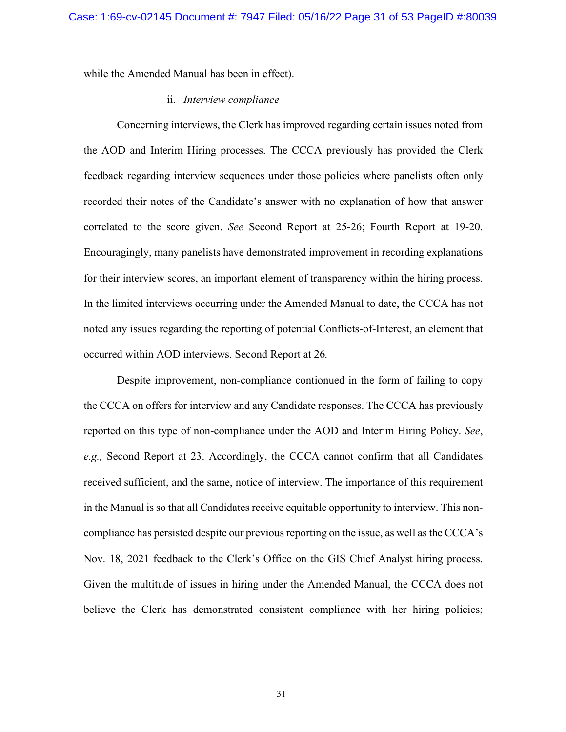while the Amended Manual has been in effect).

### ii. *Interview compliance*

Concerning interviews, the Clerk has improved regarding certain issues noted from the AOD and Interim Hiring processes. The CCCA previously has provided the Clerk feedback regarding interview sequences under those policies where panelists often only recorded their notes of the Candidate's answer with no explanation of how that answer correlated to the score given. *See* Second Report at 25-26; Fourth Report at 19-20. Encouragingly, many panelists have demonstrated improvement in recording explanations for their interview scores, an important element of transparency within the hiring process. In the limited interviews occurring under the Amended Manual to date, the CCCA has not noted any issues regarding the reporting of potential Conflicts-of-Interest, an element that occurred within AOD interviews. Second Report at 26*.* 

Despite improvement, non-compliance contionued in the form of failing to copy the CCCA on offers for interview and any Candidate responses. The CCCA has previously reported on this type of non-compliance under the AOD and Interim Hiring Policy. *See*, *e.g.,* Second Report at 23. Accordingly, the CCCA cannot confirm that all Candidates received sufficient, and the same, notice of interview. The importance of this requirement in the Manual is so that all Candidates receive equitable opportunity to interview. This noncompliance has persisted despite our previous reporting on the issue, as well as the CCCA's Nov. 18, 2021 feedback to the Clerk's Office on the GIS Chief Analyst hiring process. Given the multitude of issues in hiring under the Amended Manual, the CCCA does not believe the Clerk has demonstrated consistent compliance with her hiring policies;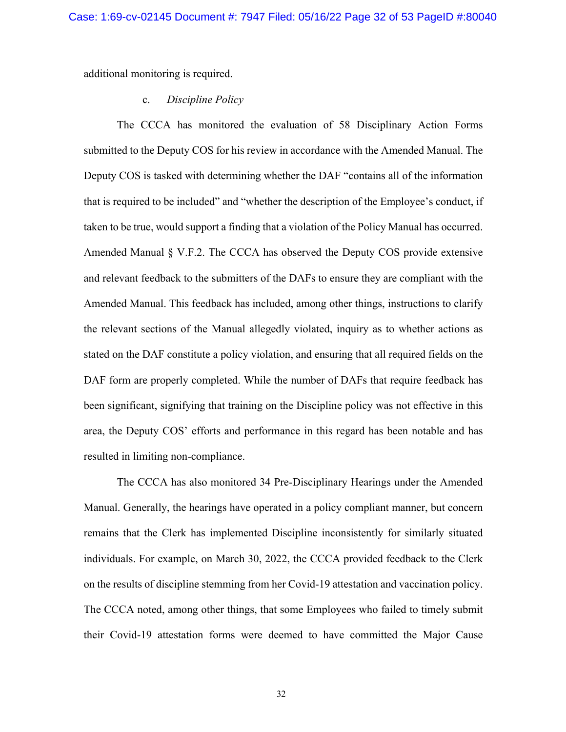additional monitoring is required.

### c. *Discipline Policy*

The CCCA has monitored the evaluation of 58 Disciplinary Action Forms submitted to the Deputy COS for his review in accordance with the Amended Manual. The Deputy COS is tasked with determining whether the DAF "contains all of the information that is required to be included" and "whether the description of the Employee's conduct, if taken to be true, would support a finding that a violation of the Policy Manual has occurred. Amended Manual § V.F.2. The CCCA has observed the Deputy COS provide extensive and relevant feedback to the submitters of the DAFs to ensure they are compliant with the Amended Manual. This feedback has included, among other things, instructions to clarify the relevant sections of the Manual allegedly violated, inquiry as to whether actions as stated on the DAF constitute a policy violation, and ensuring that all required fields on the DAF form are properly completed. While the number of DAFs that require feedback has been significant, signifying that training on the Discipline policy was not effective in this area, the Deputy COS' efforts and performance in this regard has been notable and has resulted in limiting non-compliance.

The CCCA has also monitored 34 Pre-Disciplinary Hearings under the Amended Manual. Generally, the hearings have operated in a policy compliant manner, but concern remains that the Clerk has implemented Discipline inconsistently for similarly situated individuals. For example, on March 30, 2022, the CCCA provided feedback to the Clerk on the results of discipline stemming from her Covid-19 attestation and vaccination policy. The CCCA noted, among other things, that some Employees who failed to timely submit their Covid-19 attestation forms were deemed to have committed the Major Cause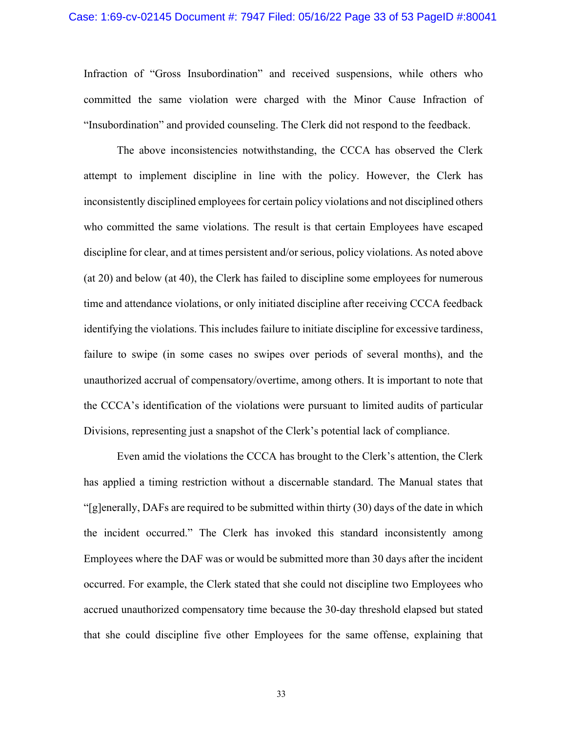### Case: 1:69-cv-02145 Document #: 7947 Filed: 05/16/22 Page 33 of 53 PageID #:80041

Infraction of "Gross Insubordination" and received suspensions, while others who committed the same violation were charged with the Minor Cause Infraction of "Insubordination" and provided counseling. The Clerk did not respond to the feedback.

The above inconsistencies notwithstanding, the CCCA has observed the Clerk attempt to implement discipline in line with the policy. However, the Clerk has inconsistently disciplined employees for certain policy violations and not disciplined others who committed the same violations. The result is that certain Employees have escaped discipline for clear, and at times persistent and/or serious, policy violations. As noted above (at 20) and below (at 40), the Clerk has failed to discipline some employees for numerous time and attendance violations, or only initiated discipline after receiving CCCA feedback identifying the violations. This includes failure to initiate discipline for excessive tardiness, failure to swipe (in some cases no swipes over periods of several months), and the unauthorized accrual of compensatory/overtime, among others. It is important to note that the CCCA's identification of the violations were pursuant to limited audits of particular Divisions, representing just a snapshot of the Clerk's potential lack of compliance.

Even amid the violations the CCCA has brought to the Clerk's attention, the Clerk has applied a timing restriction without a discernable standard. The Manual states that "[g]enerally, DAFs are required to be submitted within thirty (30) days of the date in which the incident occurred." The Clerk has invoked this standard inconsistently among Employees where the DAF was or would be submitted more than 30 days after the incident occurred. For example, the Clerk stated that she could not discipline two Employees who accrued unauthorized compensatory time because the 30-day threshold elapsed but stated that she could discipline five other Employees for the same offense, explaining that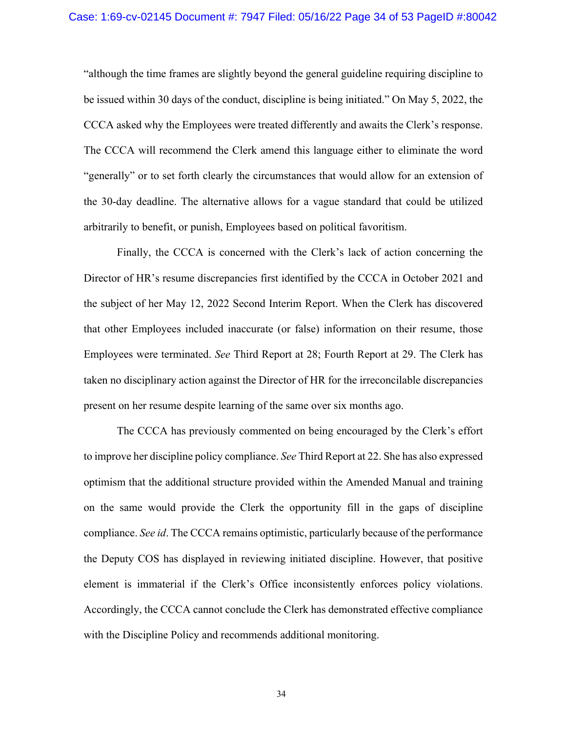"although the time frames are slightly beyond the general guideline requiring discipline to be issued within 30 days of the conduct, discipline is being initiated." On May 5, 2022, the CCCA asked why the Employees were treated differently and awaits the Clerk's response. The CCCA will recommend the Clerk amend this language either to eliminate the word "generally" or to set forth clearly the circumstances that would allow for an extension of the 30-day deadline. The alternative allows for a vague standard that could be utilized arbitrarily to benefit, or punish, Employees based on political favoritism.

Finally, the CCCA is concerned with the Clerk's lack of action concerning the Director of HR's resume discrepancies first identified by the CCCA in October 2021 and the subject of her May 12, 2022 Second Interim Report. When the Clerk has discovered that other Employees included inaccurate (or false) information on their resume, those Employees were terminated. *See* Third Report at 28; Fourth Report at 29. The Clerk has taken no disciplinary action against the Director of HR for the irreconcilable discrepancies present on her resume despite learning of the same over six months ago.

The CCCA has previously commented on being encouraged by the Clerk's effort to improve her discipline policy compliance. *See* Third Report at 22. She has also expressed optimism that the additional structure provided within the Amended Manual and training on the same would provide the Clerk the opportunity fill in the gaps of discipline compliance. *See id*. The CCCA remains optimistic, particularly because of the performance the Deputy COS has displayed in reviewing initiated discipline. However, that positive element is immaterial if the Clerk's Office inconsistently enforces policy violations. Accordingly, the CCCA cannot conclude the Clerk has demonstrated effective compliance with the Discipline Policy and recommends additional monitoring.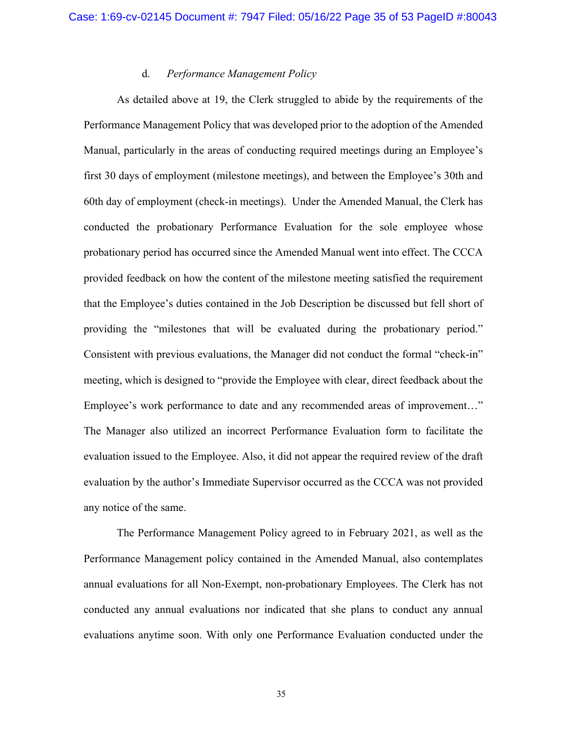### d. *Performance Management Policy*

As detailed above at 19, the Clerk struggled to abide by the requirements of the Performance Management Policy that was developed prior to the adoption of the Amended Manual, particularly in the areas of conducting required meetings during an Employee's first 30 days of employment (milestone meetings), and between the Employee's 30th and 60th day of employment (check-in meetings). Under the Amended Manual, the Clerk has conducted the probationary Performance Evaluation for the sole employee whose probationary period has occurred since the Amended Manual went into effect. The CCCA provided feedback on how the content of the milestone meeting satisfied the requirement that the Employee's duties contained in the Job Description be discussed but fell short of providing the "milestones that will be evaluated during the probationary period." Consistent with previous evaluations, the Manager did not conduct the formal "check-in" meeting, which is designed to "provide the Employee with clear, direct feedback about the Employee's work performance to date and any recommended areas of improvement…" The Manager also utilized an incorrect Performance Evaluation form to facilitate the evaluation issued to the Employee. Also, it did not appear the required review of the draft evaluation by the author's Immediate Supervisor occurred as the CCCA was not provided any notice of the same.

The Performance Management Policy agreed to in February 2021, as well as the Performance Management policy contained in the Amended Manual, also contemplates annual evaluations for all Non-Exempt, non-probationary Employees. The Clerk has not conducted any annual evaluations nor indicated that she plans to conduct any annual evaluations anytime soon. With only one Performance Evaluation conducted under the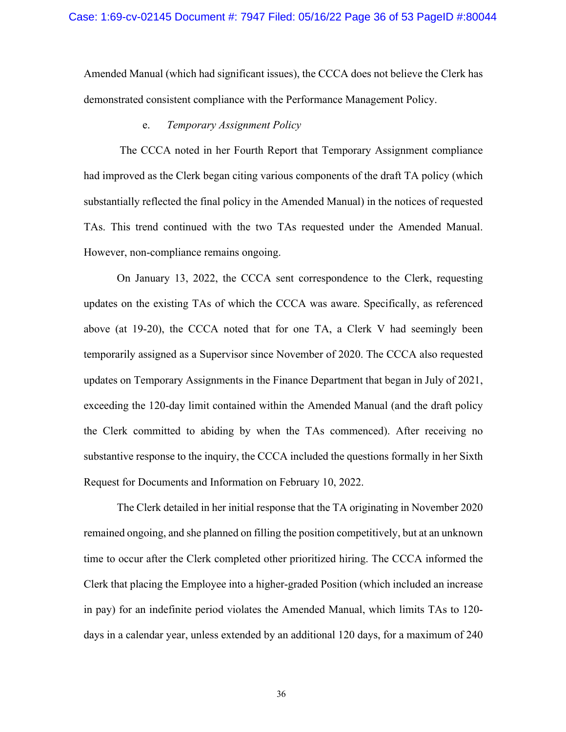Amended Manual (which had significant issues), the CCCA does not believe the Clerk has demonstrated consistent compliance with the Performance Management Policy.

#### e. *Temporary Assignment Policy*

The CCCA noted in her Fourth Report that Temporary Assignment compliance had improved as the Clerk began citing various components of the draft TA policy (which substantially reflected the final policy in the Amended Manual) in the notices of requested TAs. This trend continued with the two TAs requested under the Amended Manual. However, non-compliance remains ongoing.

On January 13, 2022, the CCCA sent correspondence to the Clerk, requesting updates on the existing TAs of which the CCCA was aware. Specifically, as referenced above (at 19-20), the CCCA noted that for one TA, a Clerk V had seemingly been temporarily assigned as a Supervisor since November of 2020. The CCCA also requested updates on Temporary Assignments in the Finance Department that began in July of 2021, exceeding the 120-day limit contained within the Amended Manual (and the draft policy the Clerk committed to abiding by when the TAs commenced). After receiving no substantive response to the inquiry, the CCCA included the questions formally in her Sixth Request for Documents and Information on February 10, 2022.

The Clerk detailed in her initial response that the TA originating in November 2020 remained ongoing, and she planned on filling the position competitively, but at an unknown time to occur after the Clerk completed other prioritized hiring. The CCCA informed the Clerk that placing the Employee into a higher-graded Position (which included an increase in pay) for an indefinite period violates the Amended Manual, which limits TAs to 120 days in a calendar year, unless extended by an additional 120 days, for a maximum of 240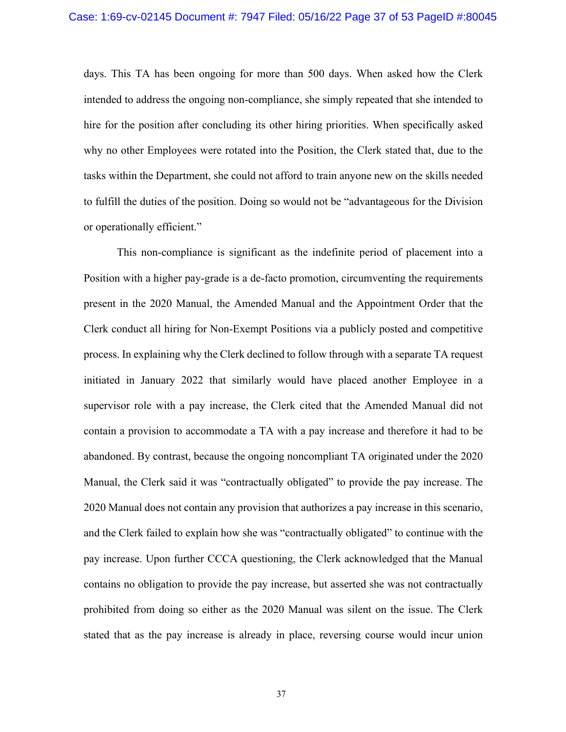days. This TA has been ongoing for more than 500 days. When asked how the Clerk intended to address the ongoing non-compliance, she simply repeated that she intended to hire for the position after concluding its other hiring priorities. When specifically asked why no other Employees were rotated into the Position, the Clerk stated that, due to the tasks within the Department, she could not afford to train anyone new on the skills needed to fulfill the duties of the position. Doing so would not be "advantageous for the Division or operationally efficient."

This non-compliance is significant as the indefinite period of placement into a Position with a higher pay-grade is a de-facto promotion, circumventing the requirements present in the 2020 Manual, the Amended Manual and the Appointment Order that the Clerk conduct all hiring for Non-Exempt Positions via a publicly posted and competitive process. In explaining why the Clerk declined to follow through with a separate TA request initiated in January 2022 that similarly would have placed another Employee in a supervisor role with a pay increase, the Clerk cited that the Amended Manual did not contain a provision to accommodate a TA with a pay increase and therefore it had to be abandoned. By contrast, because the ongoing noncompliant TA originated under the 2020 Manual, the Clerk said it was "contractually obligated" to provide the pay increase. The 2020 Manual does not contain any provision that authorizes a pay increase in this scenario, and the Clerk failed to explain how she was "contractually obligated" to continue with the pay increase. Upon further CCCA questioning, the Clerk acknowledged that the Manual contains no obligation to provide the pay increase, but asserted she was not contractually prohibited from doing so either as the 2020 Manual was silent on the issue. The Clerk stated that as the pay increase is already in place, reversing course would incur union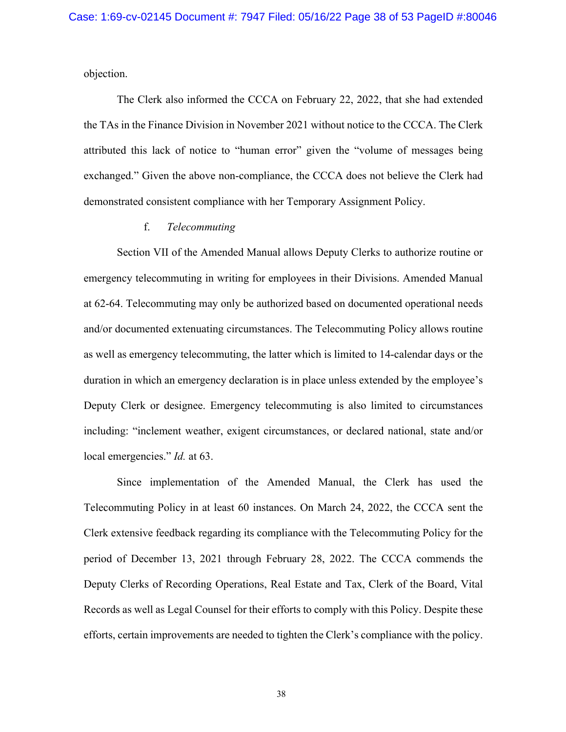objection.

The Clerk also informed the CCCA on February 22, 2022, that she had extended the TAs in the Finance Division in November 2021 without notice to the CCCA. The Clerk attributed this lack of notice to "human error" given the "volume of messages being exchanged." Given the above non-compliance, the CCCA does not believe the Clerk had demonstrated consistent compliance with her Temporary Assignment Policy.

### f. *Telecommuting*

Section VII of the Amended Manual allows Deputy Clerks to authorize routine or emergency telecommuting in writing for employees in their Divisions. Amended Manual at 62-64. Telecommuting may only be authorized based on documented operational needs and/or documented extenuating circumstances. The Telecommuting Policy allows routine as well as emergency telecommuting, the latter which is limited to 14-calendar days or the duration in which an emergency declaration is in place unless extended by the employee's Deputy Clerk or designee. Emergency telecommuting is also limited to circumstances including: "inclement weather, exigent circumstances, or declared national, state and/or local emergencies." *Id.* at 63.

Since implementation of the Amended Manual, the Clerk has used the Telecommuting Policy in at least 60 instances. On March 24, 2022, the CCCA sent the Clerk extensive feedback regarding its compliance with the Telecommuting Policy for the period of December 13, 2021 through February 28, 2022. The CCCA commends the Deputy Clerks of Recording Operations, Real Estate and Tax, Clerk of the Board, Vital Records as well as Legal Counsel for their efforts to comply with this Policy. Despite these efforts, certain improvements are needed to tighten the Clerk's compliance with the policy.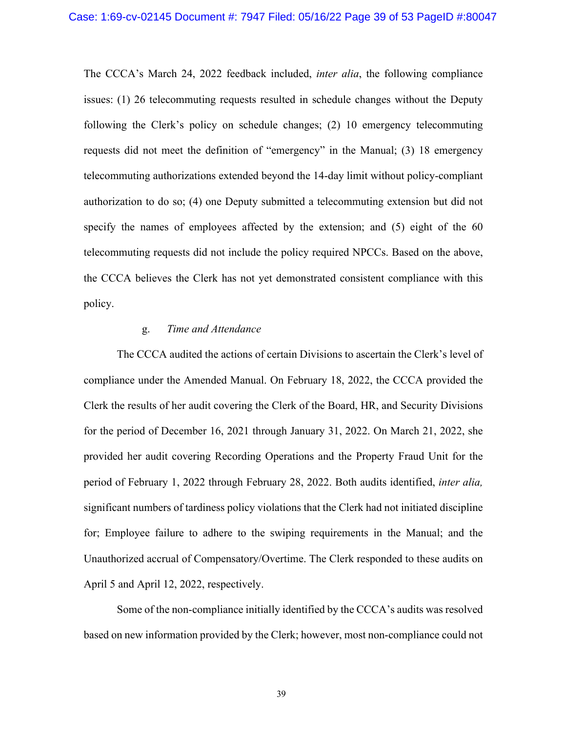The CCCA's March 24, 2022 feedback included, *inter alia*, the following compliance issues: (1) 26 telecommuting requests resulted in schedule changes without the Deputy following the Clerk's policy on schedule changes; (2) 10 emergency telecommuting requests did not meet the definition of "emergency" in the Manual; (3) 18 emergency telecommuting authorizations extended beyond the 14-day limit without policy-compliant authorization to do so; (4) one Deputy submitted a telecommuting extension but did not specify the names of employees affected by the extension; and (5) eight of the 60 telecommuting requests did not include the policy required NPCCs. Based on the above, the CCCA believes the Clerk has not yet demonstrated consistent compliance with this policy.

### g. *Time and Attendance*

The CCCA audited the actions of certain Divisions to ascertain the Clerk's level of compliance under the Amended Manual. On February 18, 2022, the CCCA provided the Clerk the results of her audit covering the Clerk of the Board, HR, and Security Divisions for the period of December 16, 2021 through January 31, 2022. On March 21, 2022, she provided her audit covering Recording Operations and the Property Fraud Unit for the period of February 1, 2022 through February 28, 2022. Both audits identified, *inter alia,* significant numbers of tardiness policy violations that the Clerk had not initiated discipline for; Employee failure to adhere to the swiping requirements in the Manual; and the Unauthorized accrual of Compensatory/Overtime. The Clerk responded to these audits on April 5 and April 12, 2022, respectively.

Some of the non-compliance initially identified by the CCCA's audits was resolved based on new information provided by the Clerk; however, most non-compliance could not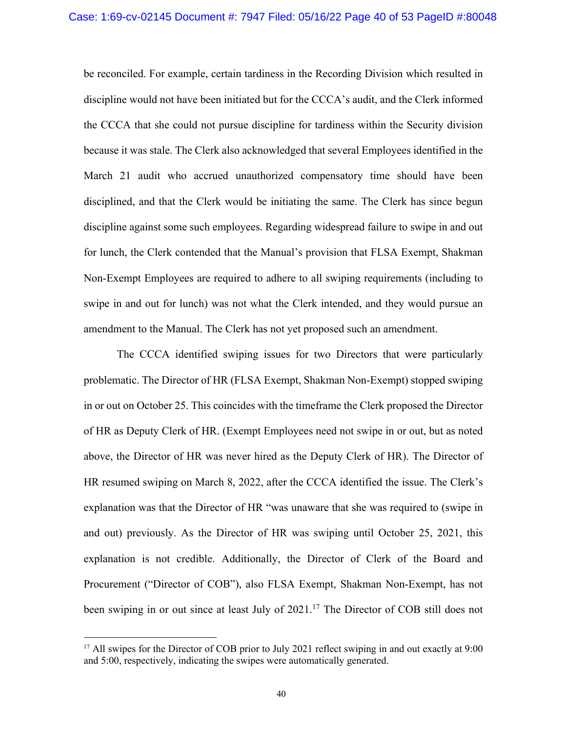be reconciled. For example, certain tardiness in the Recording Division which resulted in discipline would not have been initiated but for the CCCA's audit, and the Clerk informed the CCCA that she could not pursue discipline for tardiness within the Security division because it was stale. The Clerk also acknowledged that several Employees identified in the March 21 audit who accrued unauthorized compensatory time should have been disciplined, and that the Clerk would be initiating the same. The Clerk has since begun discipline against some such employees. Regarding widespread failure to swipe in and out for lunch, the Clerk contended that the Manual's provision that FLSA Exempt, Shakman Non-Exempt Employees are required to adhere to all swiping requirements (including to swipe in and out for lunch) was not what the Clerk intended, and they would pursue an amendment to the Manual. The Clerk has not yet proposed such an amendment.

The CCCA identified swiping issues for two Directors that were particularly problematic. The Director of HR (FLSA Exempt, Shakman Non-Exempt) stopped swiping in or out on October 25. This coincides with the timeframe the Clerk proposed the Director of HR as Deputy Clerk of HR. (Exempt Employees need not swipe in or out, but as noted above, the Director of HR was never hired as the Deputy Clerk of HR). The Director of HR resumed swiping on March 8, 2022, after the CCCA identified the issue. The Clerk's explanation was that the Director of HR "was unaware that she was required to (swipe in and out) previously. As the Director of HR was swiping until October 25, 2021, this explanation is not credible. Additionally, the Director of Clerk of the Board and Procurement ("Director of COB"), also FLSA Exempt, Shakman Non-Exempt, has not been swiping in or out since at least July of 2021.<sup>17</sup> The Director of COB still does not

<sup>&</sup>lt;sup>17</sup> All swipes for the Director of COB prior to July 2021 reflect swiping in and out exactly at 9:00 and 5:00, respectively, indicating the swipes were automatically generated.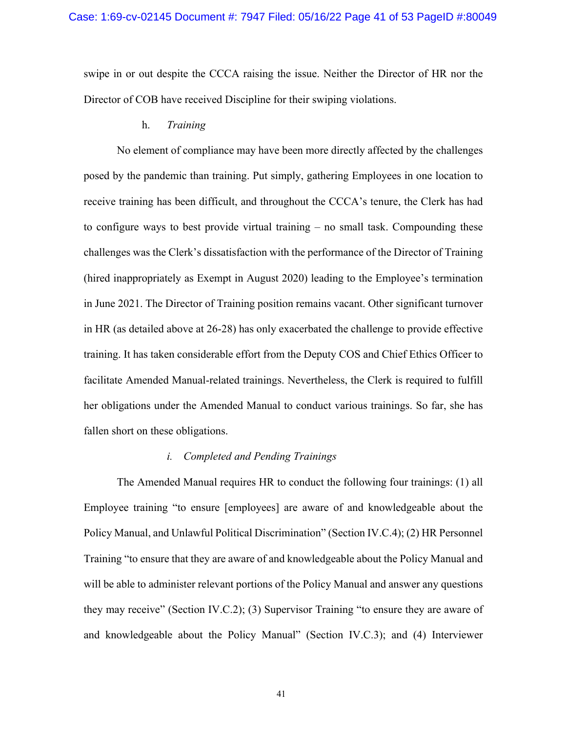swipe in or out despite the CCCA raising the issue. Neither the Director of HR nor the Director of COB have received Discipline for their swiping violations.

#### h. *Training*

No element of compliance may have been more directly affected by the challenges posed by the pandemic than training. Put simply, gathering Employees in one location to receive training has been difficult, and throughout the CCCA's tenure, the Clerk has had to configure ways to best provide virtual training – no small task. Compounding these challenges was the Clerk's dissatisfaction with the performance of the Director of Training (hired inappropriately as Exempt in August 2020) leading to the Employee's termination in June 2021. The Director of Training position remains vacant. Other significant turnover in HR (as detailed above at 26-28) has only exacerbated the challenge to provide effective training. It has taken considerable effort from the Deputy COS and Chief Ethics Officer to facilitate Amended Manual-related trainings. Nevertheless, the Clerk is required to fulfill her obligations under the Amended Manual to conduct various trainings. So far, she has fallen short on these obligations.

### *i. Completed and Pending Trainings*

The Amended Manual requires HR to conduct the following four trainings: (1) all Employee training "to ensure [employees] are aware of and knowledgeable about the Policy Manual, and Unlawful Political Discrimination" (Section IV.C.4); (2) HR Personnel Training "to ensure that they are aware of and knowledgeable about the Policy Manual and will be able to administer relevant portions of the Policy Manual and answer any questions they may receive" (Section IV.C.2); (3) Supervisor Training "to ensure they are aware of and knowledgeable about the Policy Manual" (Section IV.C.3); and (4) Interviewer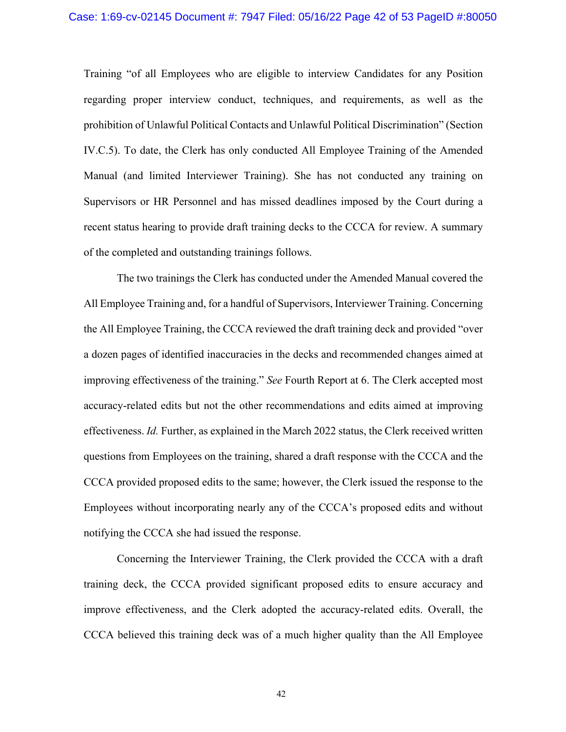Training "of all Employees who are eligible to interview Candidates for any Position regarding proper interview conduct, techniques, and requirements, as well as the prohibition of Unlawful Political Contacts and Unlawful Political Discrimination" (Section IV.C.5). To date, the Clerk has only conducted All Employee Training of the Amended Manual (and limited Interviewer Training). She has not conducted any training on Supervisors or HR Personnel and has missed deadlines imposed by the Court during a recent status hearing to provide draft training decks to the CCCA for review. A summary of the completed and outstanding trainings follows.

The two trainings the Clerk has conducted under the Amended Manual covered the All Employee Training and, for a handful of Supervisors, Interviewer Training. Concerning the All Employee Training, the CCCA reviewed the draft training deck and provided "over a dozen pages of identified inaccuracies in the decks and recommended changes aimed at improving effectiveness of the training." *See* Fourth Report at 6. The Clerk accepted most accuracy-related edits but not the other recommendations and edits aimed at improving effectiveness. *Id.* Further, as explained in the March 2022 status, the Clerk received written questions from Employees on the training, shared a draft response with the CCCA and the CCCA provided proposed edits to the same; however, the Clerk issued the response to the Employees without incorporating nearly any of the CCCA's proposed edits and without notifying the CCCA she had issued the response.

Concerning the Interviewer Training, the Clerk provided the CCCA with a draft training deck, the CCCA provided significant proposed edits to ensure accuracy and improve effectiveness, and the Clerk adopted the accuracy-related edits. Overall, the CCCA believed this training deck was of a much higher quality than the All Employee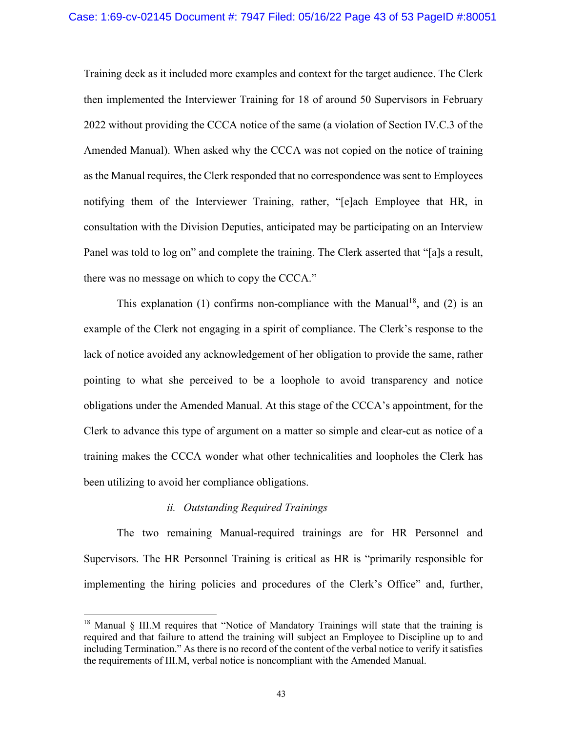Training deck as it included more examples and context for the target audience. The Clerk then implemented the Interviewer Training for 18 of around 50 Supervisors in February 2022 without providing the CCCA notice of the same (a violation of Section IV.C.3 of the Amended Manual). When asked why the CCCA was not copied on the notice of training as the Manual requires, the Clerk responded that no correspondence was sent to Employees notifying them of the Interviewer Training, rather, "[e]ach Employee that HR, in consultation with the Division Deputies, anticipated may be participating on an Interview Panel was told to log on" and complete the training. The Clerk asserted that "[a]s a result, there was no message on which to copy the CCCA."

This explanation (1) confirms non-compliance with the Manual<sup>18</sup>, and (2) is an example of the Clerk not engaging in a spirit of compliance. The Clerk's response to the lack of notice avoided any acknowledgement of her obligation to provide the same, rather pointing to what she perceived to be a loophole to avoid transparency and notice obligations under the Amended Manual. At this stage of the CCCA's appointment, for the Clerk to advance this type of argument on a matter so simple and clear-cut as notice of a training makes the CCCA wonder what other technicalities and loopholes the Clerk has been utilizing to avoid her compliance obligations.

### *ii. Outstanding Required Trainings*

The two remaining Manual-required trainings are for HR Personnel and Supervisors. The HR Personnel Training is critical as HR is "primarily responsible for implementing the hiring policies and procedures of the Clerk's Office" and, further,

<sup>&</sup>lt;sup>18</sup> Manual § III.M requires that "Notice of Mandatory Trainings will state that the training is required and that failure to attend the training will subject an Employee to Discipline up to and including Termination." As there is no record of the content of the verbal notice to verify it satisfies the requirements of III.M, verbal notice is noncompliant with the Amended Manual.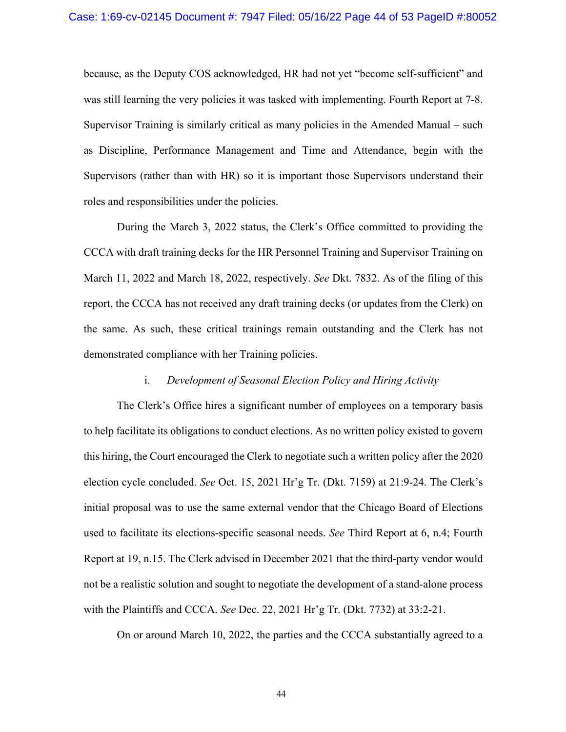because, as the Deputy COS acknowledged, HR had not yet "become self-sufficient" and was still learning the very policies it was tasked with implementing. Fourth Report at 7-8. Supervisor Training is similarly critical as many policies in the Amended Manual – such as Discipline, Performance Management and Time and Attendance, begin with the Supervisors (rather than with HR) so it is important those Supervisors understand their roles and responsibilities under the policies.

During the March 3, 2022 status, the Clerk's Office committed to providing the CCCA with draft training decks for the HR Personnel Training and Supervisor Training on March 11, 2022 and March 18, 2022, respectively. *See* Dkt. 7832. As of the filing of this report, the CCCA has not received any draft training decks (or updates from the Clerk) on the same. As such, these critical trainings remain outstanding and the Clerk has not demonstrated compliance with her Training policies.

### i. *Development of Seasonal Election Policy and Hiring Activity*

The Clerk's Office hires a significant number of employees on a temporary basis to help facilitate its obligations to conduct elections. As no written policy existed to govern this hiring, the Court encouraged the Clerk to negotiate such a written policy after the 2020 election cycle concluded. *See* Oct. 15, 2021 Hr'g Tr. (Dkt. 7159) at 21:9-24. The Clerk's initial proposal was to use the same external vendor that the Chicago Board of Elections used to facilitate its elections-specific seasonal needs. *See* Third Report at 6, n.4; Fourth Report at 19, n.15. The Clerk advised in December 2021 that the third-party vendor would not be a realistic solution and sought to negotiate the development of a stand-alone process with the Plaintiffs and CCCA. *See* Dec. 22, 2021 Hr'g Tr. (Dkt. 7732) at 33:2-21.

On or around March 10, 2022, the parties and the CCCA substantially agreed to a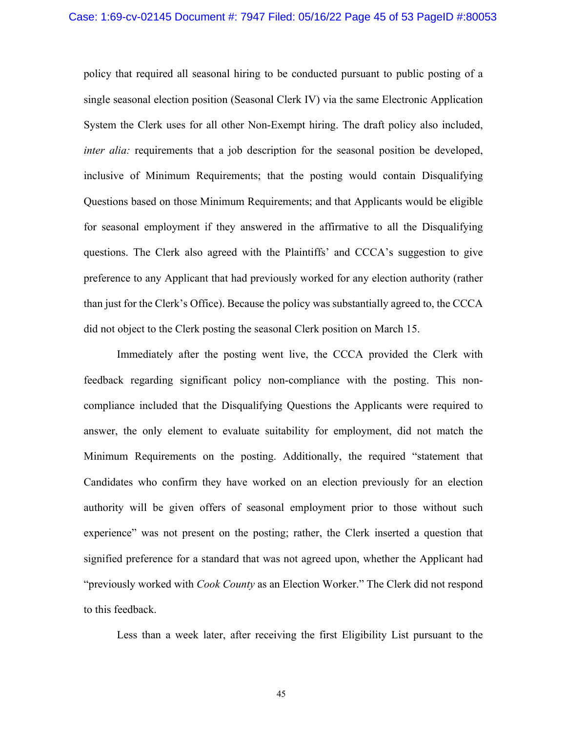policy that required all seasonal hiring to be conducted pursuant to public posting of a single seasonal election position (Seasonal Clerk IV) via the same Electronic Application System the Clerk uses for all other Non-Exempt hiring. The draft policy also included, *inter alia:* requirements that a job description for the seasonal position be developed, inclusive of Minimum Requirements; that the posting would contain Disqualifying Questions based on those Minimum Requirements; and that Applicants would be eligible for seasonal employment if they answered in the affirmative to all the Disqualifying questions. The Clerk also agreed with the Plaintiffs' and CCCA's suggestion to give preference to any Applicant that had previously worked for any election authority (rather than just for the Clerk's Office). Because the policy was substantially agreed to, the CCCA did not object to the Clerk posting the seasonal Clerk position on March 15.

Immediately after the posting went live, the CCCA provided the Clerk with feedback regarding significant policy non-compliance with the posting. This noncompliance included that the Disqualifying Questions the Applicants were required to answer, the only element to evaluate suitability for employment, did not match the Minimum Requirements on the posting. Additionally, the required "statement that Candidates who confirm they have worked on an election previously for an election authority will be given offers of seasonal employment prior to those without such experience" was not present on the posting; rather, the Clerk inserted a question that signified preference for a standard that was not agreed upon, whether the Applicant had "previously worked with *Cook County* as an Election Worker." The Clerk did not respond to this feedback.

Less than a week later, after receiving the first Eligibility List pursuant to the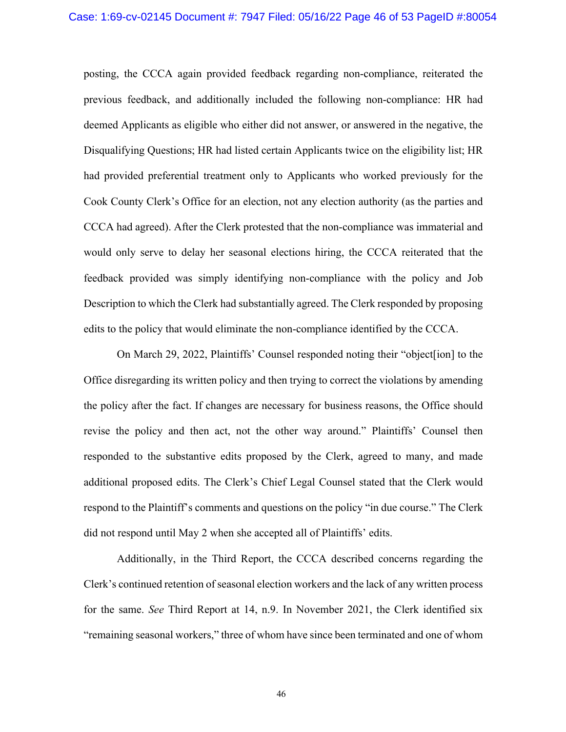posting, the CCCA again provided feedback regarding non-compliance, reiterated the previous feedback, and additionally included the following non-compliance: HR had deemed Applicants as eligible who either did not answer, or answered in the negative, the Disqualifying Questions; HR had listed certain Applicants twice on the eligibility list; HR had provided preferential treatment only to Applicants who worked previously for the Cook County Clerk's Office for an election, not any election authority (as the parties and CCCA had agreed). After the Clerk protested that the non-compliance was immaterial and would only serve to delay her seasonal elections hiring, the CCCA reiterated that the feedback provided was simply identifying non-compliance with the policy and Job Description to which the Clerk had substantially agreed. The Clerk responded by proposing edits to the policy that would eliminate the non-compliance identified by the CCCA.

On March 29, 2022, Plaintiffs' Counsel responded noting their "object[ion] to the Office disregarding its written policy and then trying to correct the violations by amending the policy after the fact. If changes are necessary for business reasons, the Office should revise the policy and then act, not the other way around." Plaintiffs' Counsel then responded to the substantive edits proposed by the Clerk, agreed to many, and made additional proposed edits. The Clerk's Chief Legal Counsel stated that the Clerk would respond to the Plaintiff's comments and questions on the policy "in due course." The Clerk did not respond until May 2 when she accepted all of Plaintiffs' edits.

Additionally, in the Third Report, the CCCA described concerns regarding the Clerk's continued retention of seasonal election workers and the lack of any written process for the same. *See* Third Report at 14, n.9. In November 2021, the Clerk identified six "remaining seasonal workers," three of whom have since been terminated and one of whom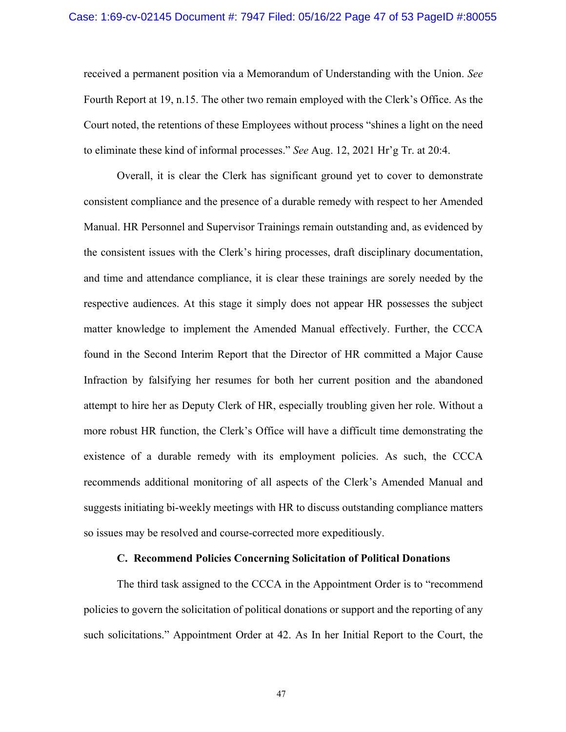received a permanent position via a Memorandum of Understanding with the Union. *See* Fourth Report at 19, n.15. The other two remain employed with the Clerk's Office. As the Court noted, the retentions of these Employees without process "shines a light on the need to eliminate these kind of informal processes." *See* Aug. 12, 2021 Hr'g Tr. at 20:4.

Overall, it is clear the Clerk has significant ground yet to cover to demonstrate consistent compliance and the presence of a durable remedy with respect to her Amended Manual. HR Personnel and Supervisor Trainings remain outstanding and, as evidenced by the consistent issues with the Clerk's hiring processes, draft disciplinary documentation, and time and attendance compliance, it is clear these trainings are sorely needed by the respective audiences. At this stage it simply does not appear HR possesses the subject matter knowledge to implement the Amended Manual effectively. Further, the CCCA found in the Second Interim Report that the Director of HR committed a Major Cause Infraction by falsifying her resumes for both her current position and the abandoned attempt to hire her as Deputy Clerk of HR, especially troubling given her role. Without a more robust HR function, the Clerk's Office will have a difficult time demonstrating the existence of a durable remedy with its employment policies. As such, the CCCA recommends additional monitoring of all aspects of the Clerk's Amended Manual and suggests initiating bi-weekly meetings with HR to discuss outstanding compliance matters so issues may be resolved and course-corrected more expeditiously.

# **C. Recommend Policies Concerning Solicitation of Political Donations**

The third task assigned to the CCCA in the Appointment Order is to "recommend policies to govern the solicitation of political donations or support and the reporting of any such solicitations." Appointment Order at 42. As In her Initial Report to the Court, the

47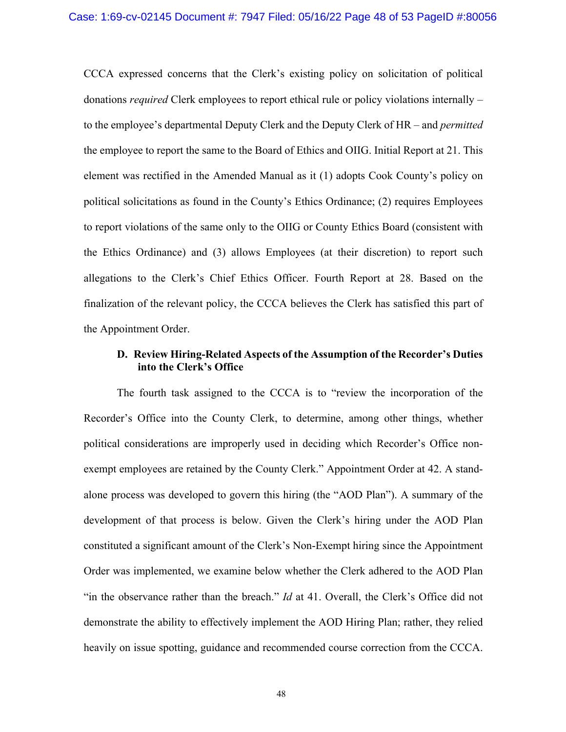CCCA expressed concerns that the Clerk's existing policy on solicitation of political donations *required* Clerk employees to report ethical rule or policy violations internally – to the employee's departmental Deputy Clerk and the Deputy Clerk of HR – and *permitted* the employee to report the same to the Board of Ethics and OIIG. Initial Report at 21. This element was rectified in the Amended Manual as it (1) adopts Cook County's policy on political solicitations as found in the County's Ethics Ordinance; (2) requires Employees to report violations of the same only to the OIIG or County Ethics Board (consistent with the Ethics Ordinance) and (3) allows Employees (at their discretion) to report such allegations to the Clerk's Chief Ethics Officer. Fourth Report at 28. Based on the finalization of the relevant policy, the CCCA believes the Clerk has satisfied this part of the Appointment Order.

# **D. Review Hiring-Related Aspects of the Assumption of the Recorder's Duties into the Clerk's Office**

The fourth task assigned to the CCCA is to "review the incorporation of the Recorder's Office into the County Clerk, to determine, among other things, whether political considerations are improperly used in deciding which Recorder's Office nonexempt employees are retained by the County Clerk." Appointment Order at 42. A standalone process was developed to govern this hiring (the "AOD Plan"). A summary of the development of that process is below. Given the Clerk's hiring under the AOD Plan constituted a significant amount of the Clerk's Non-Exempt hiring since the Appointment Order was implemented, we examine below whether the Clerk adhered to the AOD Plan "in the observance rather than the breach." *Id* at 41. Overall, the Clerk's Office did not demonstrate the ability to effectively implement the AOD Hiring Plan; rather, they relied heavily on issue spotting, guidance and recommended course correction from the CCCA.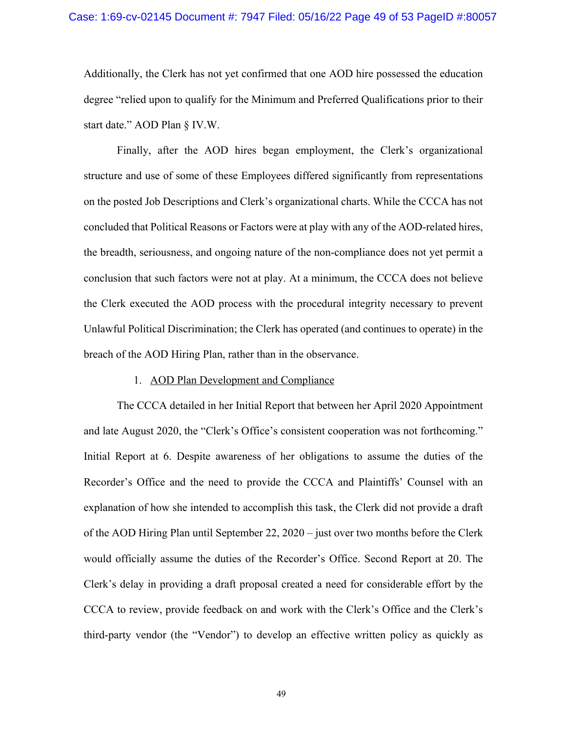### Case: 1:69-cv-02145 Document #: 7947 Filed: 05/16/22 Page 49 of 53 PageID #:80057

Additionally, the Clerk has not yet confirmed that one AOD hire possessed the education degree "relied upon to qualify for the Minimum and Preferred Qualifications prior to their start date." AOD Plan § IV.W.

Finally, after the AOD hires began employment, the Clerk's organizational structure and use of some of these Employees differed significantly from representations on the posted Job Descriptions and Clerk's organizational charts. While the CCCA has not concluded that Political Reasons or Factors were at play with any of the AOD-related hires, the breadth, seriousness, and ongoing nature of the non-compliance does not yet permit a conclusion that such factors were not at play. At a minimum, the CCCA does not believe the Clerk executed the AOD process with the procedural integrity necessary to prevent Unlawful Political Discrimination; the Clerk has operated (and continues to operate) in the breach of the AOD Hiring Plan, rather than in the observance.

#### 1. AOD Plan Development and Compliance

The CCCA detailed in her Initial Report that between her April 2020 Appointment and late August 2020, the "Clerk's Office's consistent cooperation was not forthcoming." Initial Report at 6. Despite awareness of her obligations to assume the duties of the Recorder's Office and the need to provide the CCCA and Plaintiffs' Counsel with an explanation of how she intended to accomplish this task, the Clerk did not provide a draft of the AOD Hiring Plan until September 22, 2020 – just over two months before the Clerk would officially assume the duties of the Recorder's Office. Second Report at 20. The Clerk's delay in providing a draft proposal created a need for considerable effort by the CCCA to review, provide feedback on and work with the Clerk's Office and the Clerk's third-party vendor (the "Vendor") to develop an effective written policy as quickly as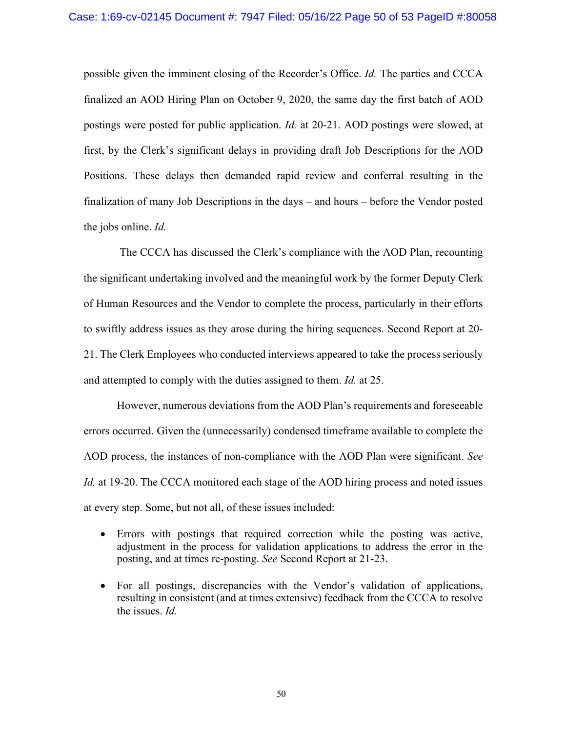possible given the imminent closing of the Recorder's Office. *Id.* The parties and CCCA finalized an AOD Hiring Plan on October 9, 2020, the same day the first batch of AOD postings were posted for public application. *Id.* at 20-21. AOD postings were slowed, at first, by the Clerk's significant delays in providing draft Job Descriptions for the AOD Positions. These delays then demanded rapid review and conferral resulting in the finalization of many Job Descriptions in the days – and hours – before the Vendor posted the jobs online. *Id.* 

The CCCA has discussed the Clerk's compliance with the AOD Plan, recounting the significant undertaking involved and the meaningful work by the former Deputy Clerk of Human Resources and the Vendor to complete the process, particularly in their efforts to swiftly address issues as they arose during the hiring sequences. Second Report at 20- 21. The Clerk Employees who conducted interviews appeared to take the process seriously and attempted to comply with the duties assigned to them. *Id.* at 25.

However, numerous deviations from the AOD Plan's requirements and foreseeable errors occurred. Given the (unnecessarily) condensed timeframe available to complete the AOD process, the instances of non-compliance with the AOD Plan were significant. *See Id.* at 19-20. The CCCA monitored each stage of the AOD hiring process and noted issues at every step. Some, but not all, of these issues included:

- Errors with postings that required correction while the posting was active, adjustment in the process for validation applications to address the error in the posting, and at times re-posting. *See* Second Report at 21-23.
- For all postings, discrepancies with the Vendor's validation of applications, resulting in consistent (and at times extensive) feedback from the CCCA to resolve the issues. *Id.*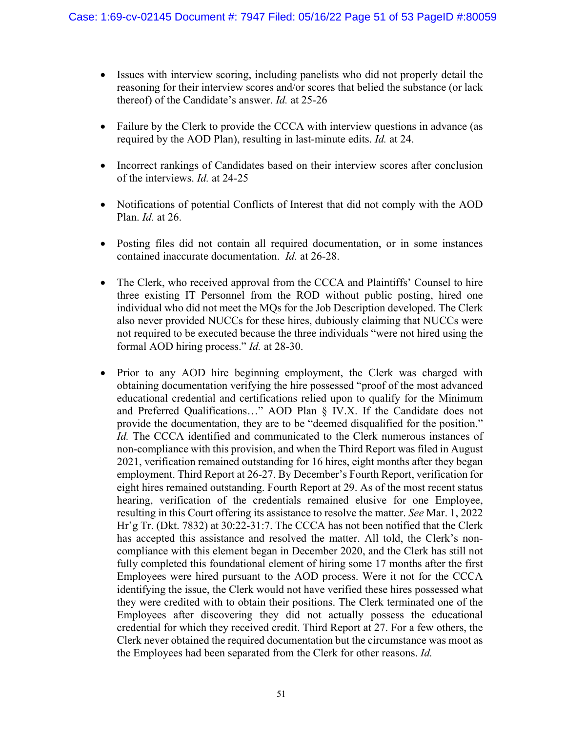- Issues with interview scoring, including panelists who did not properly detail the reasoning for their interview scores and/or scores that belied the substance (or lack thereof) of the Candidate's answer. *Id.* at 25-26
- Failure by the Clerk to provide the CCCA with interview questions in advance (as required by the AOD Plan), resulting in last-minute edits. *Id.* at 24.
- Incorrect rankings of Candidates based on their interview scores after conclusion of the interviews. *Id.* at 24-25
- Notifications of potential Conflicts of Interest that did not comply with the AOD Plan. *Id.* at 26.
- Posting files did not contain all required documentation, or in some instances contained inaccurate documentation. *Id.* at 26-28.
- The Clerk, who received approval from the CCCA and Plaintiffs' Counsel to hire three existing IT Personnel from the ROD without public posting, hired one individual who did not meet the MQs for the Job Description developed. The Clerk also never provided NUCCs for these hires, dubiously claiming that NUCCs were not required to be executed because the three individuals "were not hired using the formal AOD hiring process." *Id.* at 28-30.
- Prior to any AOD hire beginning employment, the Clerk was charged with obtaining documentation verifying the hire possessed "proof of the most advanced educational credential and certifications relied upon to qualify for the Minimum and Preferred Qualifications…" AOD Plan § IV.X. If the Candidate does not provide the documentation, they are to be "deemed disqualified for the position." *Id.* The CCCA identified and communicated to the Clerk numerous instances of non-compliance with this provision, and when the Third Report was filed in August 2021, verification remained outstanding for 16 hires, eight months after they began employment. Third Report at 26-27. By December's Fourth Report, verification for eight hires remained outstanding. Fourth Report at 29. As of the most recent status hearing, verification of the credentials remained elusive for one Employee, resulting in this Court offering its assistance to resolve the matter. *See* Mar. 1, 2022 Hr'g Tr. (Dkt. 7832) at 30:22-31:7. The CCCA has not been notified that the Clerk has accepted this assistance and resolved the matter. All told, the Clerk's noncompliance with this element began in December 2020, and the Clerk has still not fully completed this foundational element of hiring some 17 months after the first Employees were hired pursuant to the AOD process. Were it not for the CCCA identifying the issue, the Clerk would not have verified these hires possessed what they were credited with to obtain their positions. The Clerk terminated one of the Employees after discovering they did not actually possess the educational credential for which they received credit. Third Report at 27. For a few others, the Clerk never obtained the required documentation but the circumstance was moot as the Employees had been separated from the Clerk for other reasons. *Id.*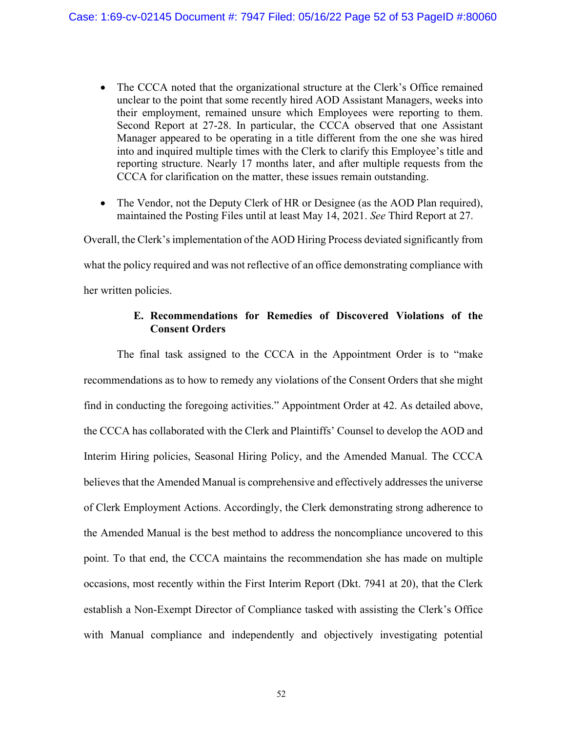- The CCCA noted that the organizational structure at the Clerk's Office remained unclear to the point that some recently hired AOD Assistant Managers, weeks into their employment, remained unsure which Employees were reporting to them. Second Report at 27-28. In particular, the CCCA observed that one Assistant Manager appeared to be operating in a title different from the one she was hired into and inquired multiple times with the Clerk to clarify this Employee's title and reporting structure. Nearly 17 months later, and after multiple requests from the CCCA for clarification on the matter, these issues remain outstanding.
- The Vendor, not the Deputy Clerk of HR or Designee (as the AOD Plan required), maintained the Posting Files until at least May 14, 2021. *See* Third Report at 27.

Overall, the Clerk's implementation of the AOD Hiring Process deviated significantly from what the policy required and was not reflective of an office demonstrating compliance with her written policies.

# **E. Recommendations for Remedies of Discovered Violations of the Consent Orders**

The final task assigned to the CCCA in the Appointment Order is to "make recommendations as to how to remedy any violations of the Consent Orders that she might find in conducting the foregoing activities." Appointment Order at 42. As detailed above, the CCCA has collaborated with the Clerk and Plaintiffs' Counsel to develop the AOD and Interim Hiring policies, Seasonal Hiring Policy, and the Amended Manual. The CCCA believes that the Amended Manual is comprehensive and effectively addresses the universe of Clerk Employment Actions. Accordingly, the Clerk demonstrating strong adherence to the Amended Manual is the best method to address the noncompliance uncovered to this point. To that end, the CCCA maintains the recommendation she has made on multiple occasions, most recently within the First Interim Report (Dkt. 7941 at 20), that the Clerk establish a Non-Exempt Director of Compliance tasked with assisting the Clerk's Office with Manual compliance and independently and objectively investigating potential